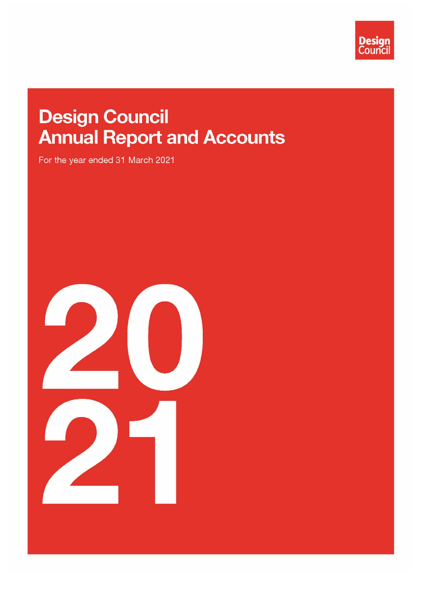

# **Design Council Annual Report and Accounts**

For the year ended 31 March 2021

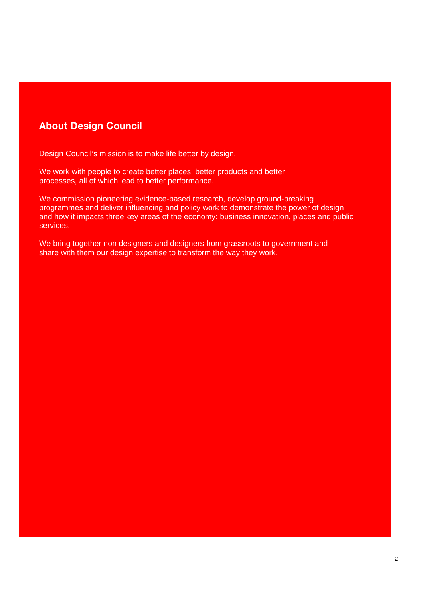## About Design Council

Design Council's mission is to make life better by design.

We work with people to create better places, better products and better processes, all of which lead to better performance.

We commission pioneering evidence-based research, develop ground-breaking programmes and deliver influencing and policy work to demonstrate the power of design and how it impacts three key areas of the economy: business innovation, places and public services.

We bring together non designers and designers from grassroots to government and share with them our design expertise to transform the way they work.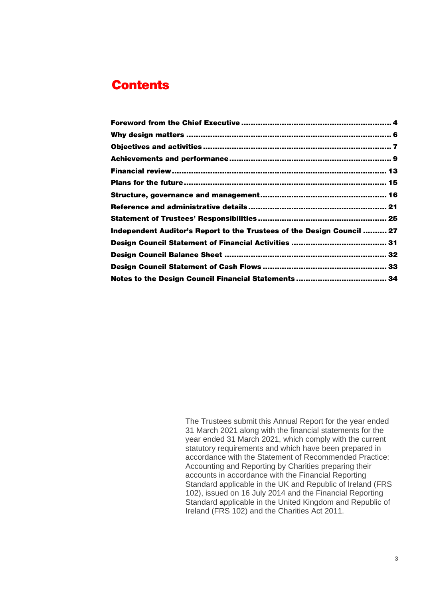## **Contents**

| Independent Auditor's Report to the Trustees of the Design Council  27 |  |
|------------------------------------------------------------------------|--|
|                                                                        |  |
|                                                                        |  |
|                                                                        |  |
|                                                                        |  |

The Trustees submit this Annual Report for the year ended 31 March 2021 along with the financial statements for the year ended 31 March 2021, which comply with the current statutory requirements and which have been prepared in accordance with the Statement of Recommended Practice: Accounting and Reporting by Charities preparing their accounts in accordance with the Financial Reporting Standard applicable in the UK and Republic of Ireland (FRS 102), issued on 16 July 2014 and the Financial Reporting Standard applicable in the United Kingdom and Republic of Ireland (FRS 102) and the Charities Act 2011.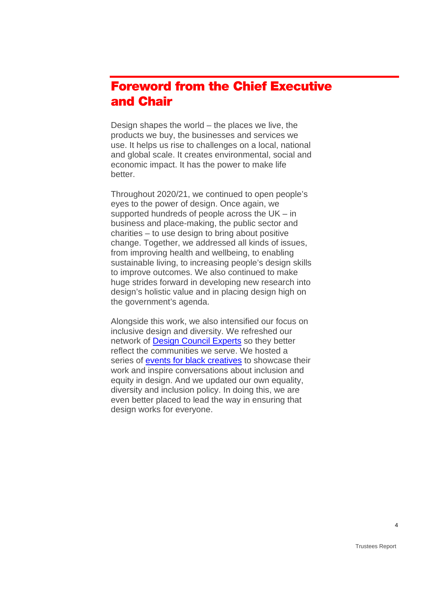## <span id="page-3-0"></span>Foreword from the Chief Executive and Chair

Design shapes the world – the places we live, the products we buy, the businesses and services we use. It helps us rise to challenges on a local, national and global scale. It creates environmental, social and economic impact. It has the power to make life better.

Throughout 2020/21, we continued to open people's eyes to the power of design. Once again, we supported hundreds of people across the UK – in business and place-making, the public sector and charities – to use design to bring about positive change. Together, we addressed all kinds of issues, from improving health and wellbeing, to enabling sustainable living, to increasing people's design skills to improve outcomes. We also continued to make huge strides forward in developing new research into design's holistic value and in placing design high on the government's agenda.

Alongside this work, we also intensified our focus on inclusive design and diversity. We refreshed our network of [Design Council Experts](https://www.designcouncil.org.uk/sites/default/files/asset/document/DC%20Experts%20Directory.pdf) so they better reflect the communities we serve. We hosted a series of events for [black creatives](https://www.designcouncil.org.uk/black-creatives) to showcase their work and inspire conversations about inclusion and equity in design. And we updated our own equality, diversity and inclusion policy. In doing this, we are even better placed to lead the way in ensuring that design works for everyone.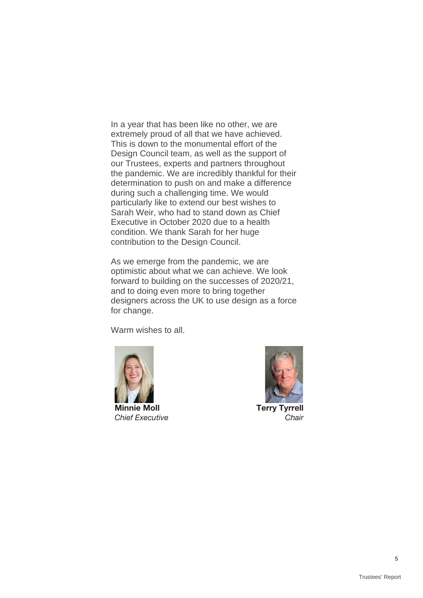In a year that has been like no other, we are extremely proud of all that we have achieved. This is down to the monumental effort of the Design Council team, as well as the support of our Trustees, experts and partners throughout the pandemic. We are incredibly thankful for their determination to push on and make a difference during such a challenging time. We would particularly like to extend our best wishes to Sarah Weir, who had to stand down as Chief Executive in October 2020 due to a health condition. We thank Sarah for her huge contribution to the Design Council.

As we emerge from the pandemic, we are optimistic about what we can achieve. We look forward to building on the successes of 2020/21, and to doing even more to bring together designers across the UK to use design as a force for change.

Warm wishes to all.





Terry Tyrrell Chair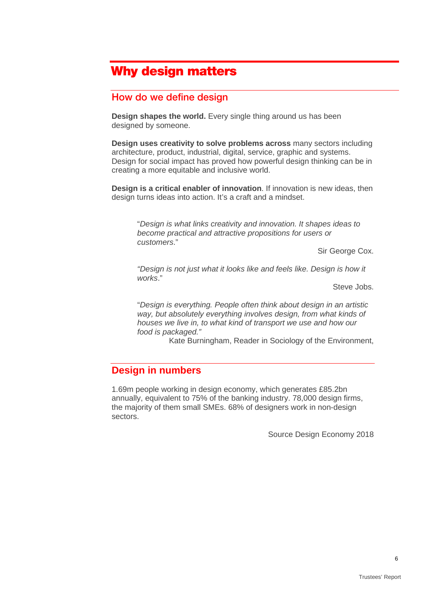## <span id="page-5-0"></span>Why design matters

### How do we define design

**Design shapes the world.** Every single thing around us has been designed by someone.

**Design uses creativity to solve problems across** many sectors including architecture, product, industrial, digital, service, graphic and systems. Design for social impact has proved how powerful design thinking can be in creating a more equitable and inclusive world.

**Design is a critical enabler of innovation**. If innovation is new ideas, then design turns ideas into action. It's a craft and a mindset.

"*Design is what links creativity and innovation. It shapes ideas to become practical and attractive propositions for users or customers*."

Sir George Cox.

*"Design is not just what it looks like and feels like. Design is how it works*."

Steve Jobs.

"*Design is everything. People often think about design in an artistic way, but absolutely everything involves design, from what kinds of houses we live in, to what kind of transport we use and how our food is packaged."*

Kate Burningham, Reader in Sociology of the Environment,

### **Design in numbers**

1.69m people working in design economy, which generates £85.2bn annually, equivalent to 75% of the banking industry. 78,000 design firms, the majority of them small SMEs. 68% of designers work in non-design sectors.

Source Design Economy 2018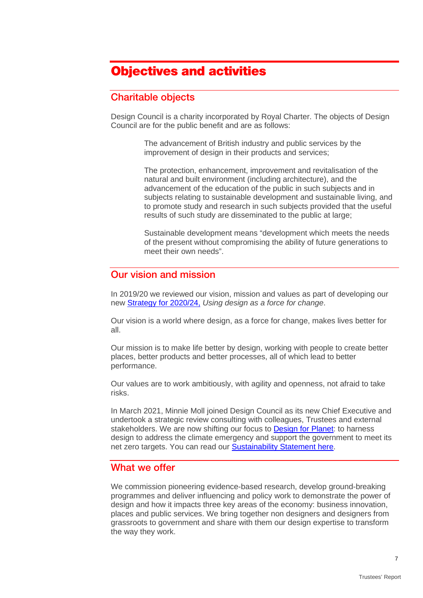## <span id="page-6-0"></span>Objectives and activities

## Charitable objects

Design Council is a charity incorporated by Royal Charter. The objects of Design Council are for the public benefit and are as follows:

> The advancement of British industry and public services by the improvement of design in their products and services;

The protection, enhancement, improvement and revitalisation of the natural and built environment (including architecture), and the advancement of the education of the public in such subjects and in subjects relating to sustainable development and sustainable living, and to promote study and research in such subjects provided that the useful results of such study are disseminated to the public at large;

Sustainable development means "development which meets the needs of the present without compromising the ability of future generations to meet their own needs".

### Our vision and mission

In 2019/20 we reviewed our vision, mission and values as part of developing our new [Strategy for 2020/24,](https://www.designcouncil.org.uk/sites/default/files/asset/document/Design%20Council%202020-24%20Strategy.pdf) *Using design as a force for change*.

Our vision is a world where design, as a force for change, makes lives better for all.

Our mission is to make life better by design, working with people to create better places, better products and better processes, all of which lead to better performance.

Our values are to work ambitiously, with agility and openness, not afraid to take risks.

In March 2021, Minnie Moll joined Design Council as its new Chief Executive and undertook a strategic review consulting with colleagues, Trustees and external stakeholders. We are now shifting our focus to [Design for Planet:](https://www.designcouncil.org.uk/news-opinion/design-council-announces-new-climate-focus-and-mission-mobilise-uk-s-169m-strong-design) to harness design to address the climate emergency and support the government to meet its net zero targets. You can read our [Sustainability Statement here.](https://www.designcouncil.org.uk/sustainability-statement)

## What we offer

We commission pioneering evidence-based research, develop ground-breaking programmes and deliver influencing and policy work to demonstrate the power of design and how it impacts three key areas of the economy: business innovation, places and public services. We bring together non designers and designers from grassroots to government and share with them our design expertise to transform the way they work.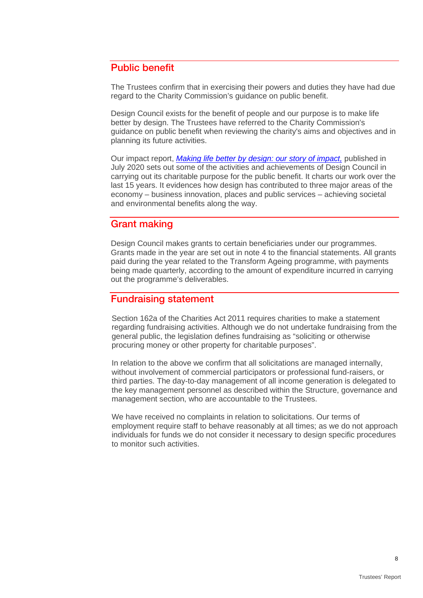## Public benefit

The Trustees confirm that in exercising their powers and duties they have had due regard to the Charity Commission's guidance on public benefit.

Design Council exists for the benefit of people and our purpose is to make life better by design. The Trustees have referred to the Charity Commission's guidance on public benefit when reviewing the charity's aims and objectives and in planning its future activities.

Our impact report, *[Making life better by design: our story of impact,](https://www.designcouncil.org.uk/resources/report/download-our-full-impact-report)* published in July 2020 sets out some of the activities and achievements of Design Council in carrying out its charitable purpose for the public benefit. It charts our work over the last 15 years. It evidences how design has contributed to three major areas of the economy – business innovation, places and public services – achieving societal and environmental benefits along the way.

## Grant making

Design Council makes grants to certain beneficiaries under our programmes. Grants made in the year are set out in note 4 to the financial statements. All grants paid during the year related to the Transform Ageing programme, with payments being made quarterly, according to the amount of expenditure incurred in carrying out the programme's deliverables.

### Fundraising statement

Section 162a of the Charities Act 2011 requires charities to make a statement regarding fundraising activities. Although we do not undertake fundraising from the general public, the legislation defines fundraising as "soliciting or otherwise procuring money or other property for charitable purposes".

In relation to the above we confirm that all solicitations are managed internally, without involvement of commercial participators or professional fund-raisers, or third parties. The day-to-day management of all income generation is delegated to the key management personnel as described within the Structure, governance and management section, who are accountable to the Trustees.

We have received no complaints in relation to solicitations. Our terms of employment require staff to behave reasonably at all times; as we do not approach individuals for funds we do not consider it necessary to design specific procedures to monitor such activities.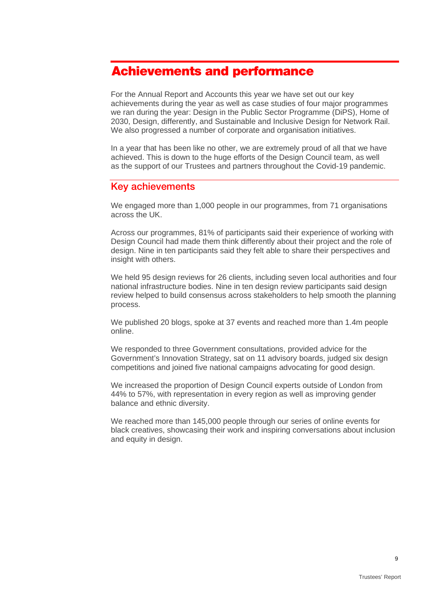## <span id="page-8-0"></span>Achievements and performance

For the Annual Report and Accounts this year we have set out our key achievements during the year as well as case studies of four major programmes we ran during the year: Design in the Public Sector Programme (DiPS), Home of 2030, Design, differently, and Sustainable and Inclusive Design for Network Rail. We also progressed a number of corporate and organisation initiatives.

In a year that has been like no other, we are extremely proud of all that we have achieved. This is down to the huge efforts of the Design Council team, as well as the support of our Trustees and partners throughout the Covid-19 pandemic.

## Key achievements

We engaged more than 1,000 people in our programmes, from 71 organisations across the UK.

Across our programmes, 81% of participants said their experience of working with Design Council had made them think differently about their project and the role of design. Nine in ten participants said they felt able to share their perspectives and insight with others.

We held 95 design reviews for 26 clients, including seven local authorities and four national infrastructure bodies. Nine in ten design review participants said design review helped to build consensus across stakeholders to help smooth the planning process.

We published 20 blogs, spoke at 37 events and reached more than 1.4m people online.

We responded to three Government consultations, provided advice for the Government's Innovation Strategy, sat on 11 advisory boards, judged six design competitions and joined five national campaigns advocating for good design.

We increased the proportion of Design Council experts outside of London from 44% to 57%, with representation in every region as well as improving gender balance and ethnic diversity.

We reached more than 145,000 people through our series of online events for [black creatives,](https://www.designcouncil.org.uk/black-creatives) showcasing their work and inspiring conversations about inclusion and equity in design.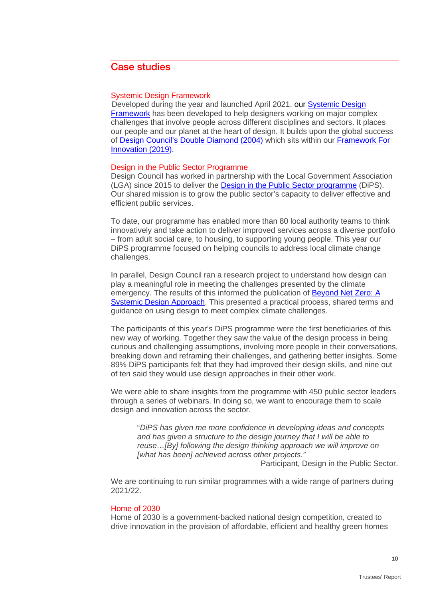## Case studies

#### Systemic Design Framework

Developed during the year and launched April 2021, our **Systemic Design** [Framework](https://www.designcouncil.org.uk/resources/guide/beyond-net-zero-systemic-design-approach) has been developed to help designers working on major complex challenges that involve people across different disciplines and sectors. It places our people and our planet at the heart of design. It builds upon the global success of Design Council's [Double Diamond \(2004\)](https://www.designcouncil.org.uk/news-opinion/double-diamond-universally-accepted-depiction-design-process) which sits within our [Framework For](https://www.designcouncil.org.uk/news-opinion/what-framework-innovation-design-councils-evolved-double-diamond)  [Innovation \(2019\).](https://www.designcouncil.org.uk/news-opinion/what-framework-innovation-design-councils-evolved-double-diamond)

#### Design in the Public Sector Programme

Design Council has worked in partnership with the Local Government Association (LGA) since 2015 to deliver the [Design in the Public Sector programme](https://www.designcouncil.org.uk/design-public-sector) (DiPS). Our shared mission is to grow the public sector's capacity to deliver effective and efficient public services.

To date, our programme has enabled more than 80 local authority teams to think innovatively and take action to deliver improved services across a diverse portfolio – from adult social care, to housing, to supporting young people. This year our DiPS programme focused on helping councils to address local climate change challenges.

In parallel, Design Council ran a research project to understand how design can play a meaningful role in meeting the challenges presented by the climate emergency. The results of this informed the publication of [Beyond Net Zero: A](https://www.designcouncil.org.uk/resources/guide/beyond-net-zero-systemic-design-approach)  [Systemic Design Approach.](https://www.designcouncil.org.uk/resources/guide/beyond-net-zero-systemic-design-approach) This presented a practical process, shared terms and guidance on using design to meet complex climate challenges.

The participants of this year's DiPS programme were the first beneficiaries of this new way of working. Together they saw the value of the design process in being curious and challenging assumptions, involving more people in their conversations, breaking down and reframing their challenges, and gathering better insights. Some 89% DiPS participants felt that they had improved their design skills, and nine out of ten said they would use design approaches in their other work.

We were able to share insights from the programme with 450 public sector leaders through a series of webinars. In doing so, we want to encourage them to scale design and innovation across the sector.

"*DiPS has given me more confidence in developing ideas and concepts and has given a structure to the design journey that I will be able to reuse…[By] following the design thinking approach we will improve on [what has been] achieved across other projects."*

Participant, Design in the Public Sector.

We are continuing to run similar programmes with a wide range of partners during 2021/22.

#### [Home of 2030](https://www.designcouncil.org.uk/resources/publication/download-public-vision-home-2030)

Home of 2030 is a government-backed national design competition, created to drive innovation in the provision of affordable, efficient and healthy green homes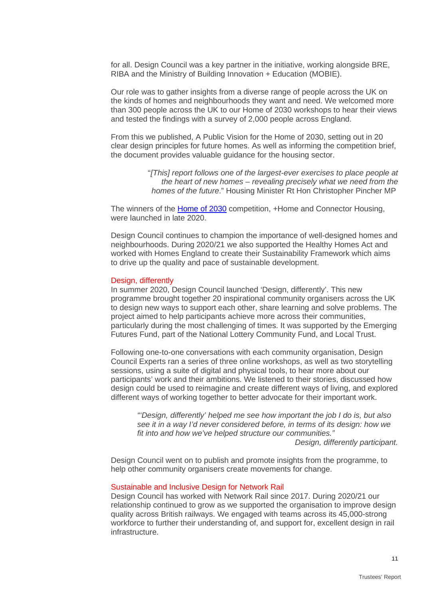for all. Design Council was a key partner in the initiative, working alongside BRE, RIBA and the Ministry of Building Innovation + Education (MOBIE).

Our role was to gather insights from a diverse range of people across the UK on the kinds of homes and neighbourhoods they want and need. We welcomed more than 300 people across the UK to our Home of 2030 workshops to hear their views and tested the findings with a survey of 2,000 people across England.

From this we published, A Public Vision for the Home of 2030, setting out in 20 clear design principles for future homes. As well as informing the competition brief, the document provides valuable guidance for the housing sector.

> "*[This] report follows one of the largest-ever exercises to place people at the heart of new homes – revealing precisely what we need from the homes of the future*." Housing Minister Rt Hon Christopher Pincher MP

The winners of the [Home of 2030](https://www.designcouncil.org.uk/resources/publication/download-public-vision-home-2030) competition, +Home and Connector Housing, were launched in late 2020.

Design Council continues to champion the importance of well-designed homes and neighbourhoods. During 2020/21 we also supported the Healthy Homes Act and worked with Homes England to create their Sustainability Framework which aims to drive up the quality and pace of sustainable development.

#### Design, differently

In summer 2020, Design Council launched 'Design, differently'. This new programme brought together 20 inspirational community organisers across the UK to design new ways to support each other, share learning and solve problems. The project aimed to help participants achieve more across their communities, particularly during the most challenging of times. It was supported by the Emerging Futures Fund, part of the National Lottery Community Fund, and Local Trust.

Following one-to-one conversations with each community organisation, Design Council Experts ran a series of three online workshops, as well as two storytelling sessions, using a suite of digital and physical tools, to hear more about our participants' work and their ambitions. We listened to their stories, discussed how design could be used to reimagine and create different ways of living, and explored different ways of working together to better advocate for their important work.

*"'Design, differently' helped me see how important the job I do is, but also see it in a way I'd never considered before, in terms of its design: how we fit into and how we've helped structure our communities."*

*Design, differently participant.*

Design Council went on to [publish and promote insights from the programme,](https://www.design-differently.com/) to help other community organisers create movements for change.

#### Sustainable and Inclusive Design for Network Rail

Design Council has worked with Network Rail since 2017. During 2020/21 our relationship continued to grow as we supported the organisation to improve design quality across British railways. We engaged with teams across its 45,000-strong workforce to further their understanding of, and support for, excellent design in rail infrastructure.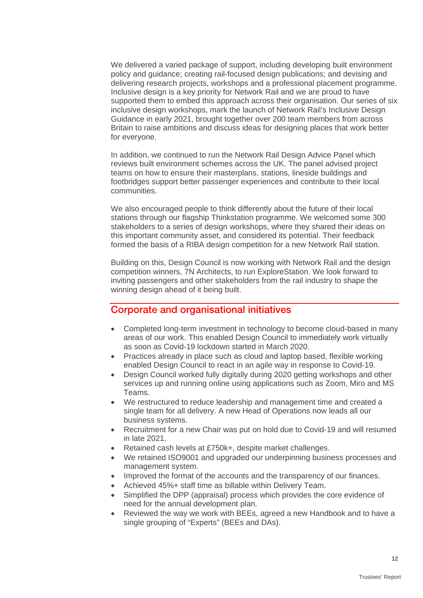We delivered a varied package of support, including developing built environment policy and guidance; creating rail-focused design publications; and devising and delivering research projects, workshops and a professional placement programme. Inclusive design is a key priority for Network Rail and we are proud to have supported them to embed this approach across their organisation. Our series of six inclusive design workshops, mark the launch of Network Rail's Inclusive Design Guidance in early 2021, brought together over 200 team members from across Britain to raise ambitions and discuss ideas for designing places that work better for everyone.

In addition, we continued to run the Network Rail Design Advice Panel which reviews built environment schemes across the UK. The panel advised project teams on how to ensure their masterplans, stations, lineside buildings and footbridges support better passenger experiences and contribute to their local communities.

We also encouraged people to think differently about the future of their local stations through our flagship Thinkstation programme. We welcomed some 300 stakeholders to a series of design workshops, where they shared their ideas on this important community asset, and considered its potential. Their feedback formed the basis of a RIBA design competition for a new Network Rail station.

Building on this, Design Council is now working with Network Rail and the design competition winners, 7N Architects, to run ExploreStation. We look forward to inviting passengers and other stakeholders from the rail industry to shape the winning design ahead of it being built.

### Corporate and organisational initiatives

- Completed long-term investment in technology to become cloud-based in many areas of our work. This enabled Design Council to immediately work virtually as soon as Covid-19 lockdown started in March 2020.
- Practices already in place such as cloud and laptop based, flexible working enabled Design Council to react in an agile way in response to Covid-19.
- Design Council worked fully digitally during 2020 getting workshops and other services up and running online using applications such as Zoom, Miro and MS Teams.
- We restructured to reduce leadership and management time and created a single team for all delivery. A new Head of Operations now leads all our business systems.
- Recruitment for a new Chair was put on hold due to Covid-19 and will resumed in late 2021.
- Retained cash levels at £750k+, despite market challenges.
- We retained ISO9001 and upgraded our underpinning business processes and management system.
- Improved the format of the accounts and the transparency of our finances.
- Achieved 45%+ staff time as billable within Delivery Team.
- Simplified the DPP (appraisal) process which provides the core evidence of need for the annual development plan.
- Reviewed the way we work with BEEs, agreed a new Handbook and to have a single grouping of "Experts" (BEEs and DAs).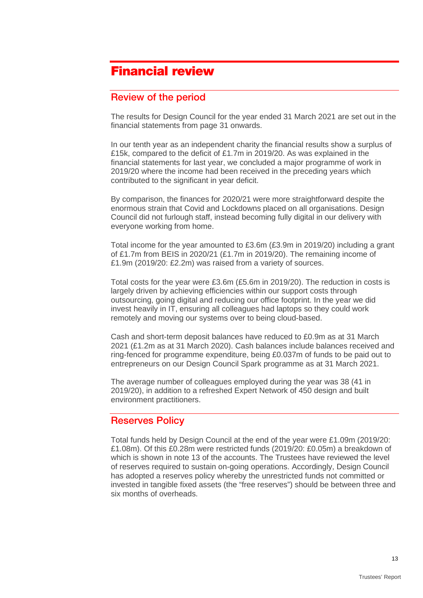## <span id="page-12-0"></span>Financial review

## Review of the period

The results for Design Council for the year ended 31 March 2021 are set out in the financial statements from page 31 onwards.

In our tenth year as an independent charity the financial results show a surplus of £15k, compared to the deficit of £1.7m in 2019/20. As was explained in the financial statements for last year, we concluded a major programme of work in 2019/20 where the income had been received in the preceding years which contributed to the significant in year deficit.

By comparison, the finances for 2020/21 were more straightforward despite the enormous strain that Covid and Lockdowns placed on all organisations. Design Council did not furlough staff, instead becoming fully digital in our delivery with everyone working from home.

Total income for the year amounted to £3.6m (£3.9m in 2019/20) including a grant of £1.7m from BEIS in 2020/21 (£1.7m in 2019/20). The remaining income of £1.9m (2019/20: £2.2m) was raised from a variety of sources.

Total costs for the year were £3.6m (£5.6m in 2019/20). The reduction in costs is largely driven by achieving efficiencies within our support costs through outsourcing, going digital and reducing our office footprint. In the year we did invest heavily in IT, ensuring all colleagues had laptops so they could work remotely and moving our systems over to being cloud-based.

Cash and short-term deposit balances have reduced to £0.9m as at 31 March 2021 (£1.2m as at 31 March 2020). Cash balances include balances received and ring-fenced for programme expenditure, being £0.037m of funds to be paid out to entrepreneurs on our Design Council Spark programme as at 31 March 2021.

The average number of colleagues employed during the year was 38 (41 in 2019/20), in addition to a refreshed Expert Network of 450 design and built environment practitioners.

## Reserves Policy

Total funds held by Design Council at the end of the year were £1.09m (2019/20: £1.08m). Of this £0.28m were restricted funds (2019/20: £0.05m) a breakdown of which is shown in note 13 of the accounts. The Trustees have reviewed the level of reserves required to sustain on-going operations. Accordingly, Design Council has adopted a reserves policy whereby the unrestricted funds not committed or invested in tangible fixed assets (the "free reserves") should be between three and six months of overheads.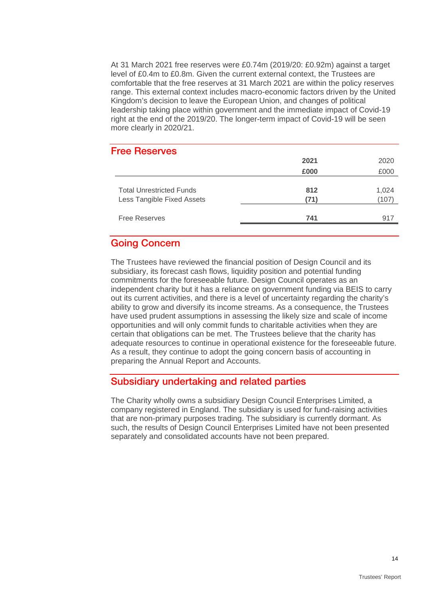At 31 March 2021 free reserves were £0.74m (2019/20: £0.92m) against a target level of £0.4m to £0.8m. Given the current external context, the Trustees are comfortable that the free reserves at 31 March 2021 are within the policy reserves range. This external context includes macro-economic factors driven by the United Kingdom's decision to leave the European Union, and changes of political leadership taking place within government and the immediate impact of Covid-19 right at the end of the 2019/20. The longer-term impact of Covid-19 will be seen more clearly in 2020/21.

#### Free Reserves

|                                                               | 2021        | 2020         |
|---------------------------------------------------------------|-------------|--------------|
|                                                               | £000        | £000         |
| <b>Total Unrestricted Funds</b><br>Less Tangible Fixed Assets | 812<br>(71) | 1,024<br>107 |
| <b>Free Reserves</b>                                          | 741         | 917          |

## Going Concern

The Trustees have reviewed the financial position of Design Council and its subsidiary, its forecast cash flows, liquidity position and potential funding commitments for the foreseeable future. Design Council operates as an independent charity but it has a reliance on government funding via BEIS to carry out its current activities, and there is a level of uncertainty regarding the charity's ability to grow and diversify its income streams. As a consequence, the Trustees have used prudent assumptions in assessing the likely size and scale of income opportunities and will only commit funds to charitable activities when they are certain that obligations can be met. The Trustees believe that the charity has adequate resources to continue in operational existence for the foreseeable future. As a result, they continue to adopt the going concern basis of accounting in preparing the Annual Report and Accounts.

### Subsidiary undertaking and related parties

The Charity wholly owns a subsidiary Design Council Enterprises Limited, a company registered in England. The subsidiary is used for fund-raising activities that are non-primary purposes trading. The subsidiary is currently dormant. As such, the results of Design Council Enterprises Limited have not been presented separately and consolidated accounts have not been prepared.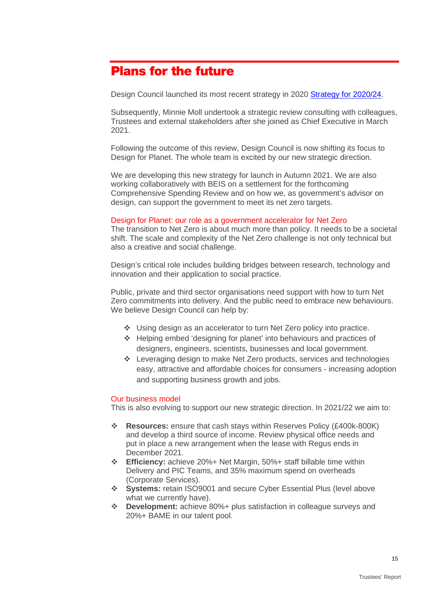## <span id="page-14-0"></span>Plans for the future

Design Council launched its most recent strategy in 2020 [Strategy for 2020/24.](https://www.designcouncil.org.uk/sites/default/files/asset/document/Design%20Council%202020-24%20Strategy.pdf)

Subsequently, Minnie Moll undertook a strategic review consulting with colleagues, Trustees and external stakeholders after she joined as Chief Executive in March 2021.

Following the outcome of this review, Design Council is now shifting its focus to Design for Planet. The whole team is excited by our new strategic direction.

We are developing this new strategy for launch in Autumn 2021. We are also working collaboratively with BEIS on a settlement for the forthcoming Comprehensive Spending Review and on how we, as government's advisor on design, can support the government to meet its net zero targets.

#### Design for Planet: our role as a government accelerator for Net Zero

The transition to Net Zero is about much more than policy. It needs to be a societal shift. The scale and complexity of the Net Zero challenge is not only technical but also a creative and social challenge.

Design's critical role includes building bridges between research, technology and innovation and their application to social practice.

Public, private and third sector organisations need support with how to turn Net Zero commitments into delivery. And the public need to embrace new behaviours. We believe Design Council can help by:

- Using design as an accelerator to turn Net Zero policy into practice.
- Helping embed 'designing for planet' into behaviours and practices of designers, engineers, scientists, businesses and local government.
- Leveraging design to make Net Zero products, services and technologies easy, attractive and affordable choices for consumers - increasing adoption and supporting business growth and jobs.

#### Our business model

This is also evolving to support our new strategic direction. In 2021/22 we aim to:

- **Resources:** ensure that cash stays within Reserves Policy (£400k-800K) and develop a third source of income. Review physical office needs and put in place a new arrangement when the lease with Regus ends in December 2021.
- **Efficiency:** achieve 20%+ Net Margin, 50%+ staff billable time within Delivery and PIC Teams, and 35% maximum spend on overheads (Corporate Services).
- **Systems:** retain ISO9001 and secure Cyber Essential Plus (level above what we currently have).
- **Development:** achieve 80%+ plus satisfaction in colleague surveys and 20%+ BAME in our talent pool.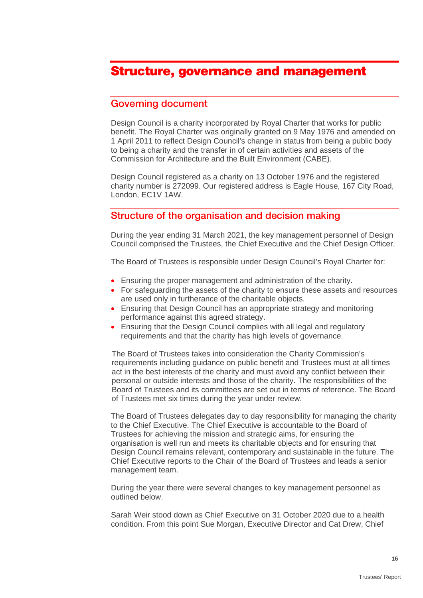## <span id="page-15-0"></span>Structure, governance and management

### Governing document

Design Council is a charity incorporated by Royal Charter that works for public benefit. The Royal Charter was originally granted on 9 May 1976 and amended on 1 April 2011 to reflect Design Council's change in status from being a public body to being a charity and the transfer in of certain activities and assets of the Commission for Architecture and the Built Environment (CABE).

Design Council registered as a charity on 13 October 1976 and the registered charity number is 272099. Our registered address is Eagle House, 167 City Road, London, EC1V 1AW.

## Structure of the organisation and decision making

During the year ending 31 March 2021, the key management personnel of Design Council comprised the Trustees, the Chief Executive and the Chief Design Officer.

The Board of Trustees is responsible under Design Council's Royal Charter for:

- Ensuring the proper management and administration of the charity.
- For safeguarding the assets of the charity to ensure these assets and resources are used only in furtherance of the charitable objects.
- Ensuring that Design Council has an appropriate strategy and monitoring performance against this agreed strategy.
- Ensuring that the Design Council complies with all legal and regulatory requirements and that the charity has high levels of governance.

The Board of Trustees takes into consideration the Charity Commission's requirements including guidance on public benefit and Trustees must at all times act in the best interests of the charity and must avoid any conflict between their personal or outside interests and those of the charity. The responsibilities of the Board of Trustees and its committees are set out in terms of reference. The Board of Trustees met six times during the year under review.

The Board of Trustees delegates day to day responsibility for managing the charity to the Chief Executive. The Chief Executive is accountable to the Board of Trustees for achieving the mission and strategic aims, for ensuring the organisation is well run and meets its charitable objects and for ensuring that Design Council remains relevant, contemporary and sustainable in the future. The Chief Executive reports to the Chair of the Board of Trustees and leads a senior management team.

During the year there were several changes to key management personnel as outlined below.

Sarah Weir stood down as Chief Executive on 31 October 2020 due to a health condition. From this point Sue Morgan, Executive Director and Cat Drew, Chief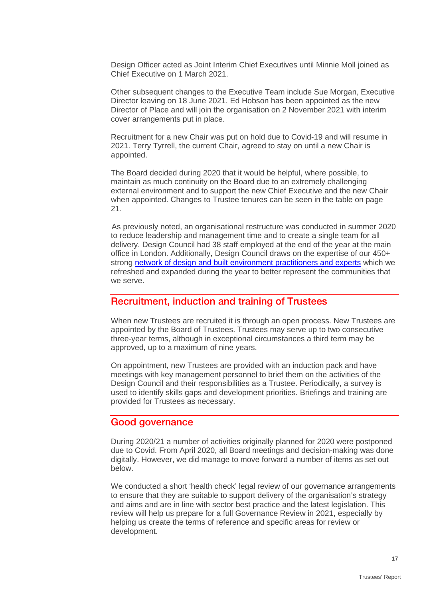Design Officer acted as Joint Interim Chief Executives until Minnie Moll joined as Chief Executive on 1 March 2021.

Other subsequent changes to the Executive Team include Sue Morgan, Executive Director leaving on 18 June 2021. Ed Hobson has been appointed as the new Director of Place and will join the organisation on 2 November 2021 with interim cover arrangements put in place.

Recruitment for a new Chair was put on hold due to Covid-19 and will resume in 2021. Terry Tyrrell, the current Chair, agreed to stay on until a new Chair is appointed.

The Board decided during 2020 that it would be helpful, where possible, to maintain as much continuity on the Board due to an extremely challenging external environment and to support the new Chief Executive and the new Chair when appointed. Changes to Trustee tenures can be seen in the table on page 21.

As previously noted, an organisational restructure was conducted in summer 2020 to reduce leadership and management time and to create a single team for all delivery. Design Council had 38 staff employed at the end of the year at the main office in London. Additionally, Design Council draws on the expertise of our 450+ strong [network of design and built environment practitioners and experts](https://www.designcouncil.org.uk/news-opinion/design-council-announces-new-network-design-experts) which we refreshed and expanded during the year to better represent the communities that we serve.

### Recruitment, induction and training of Trustees

When new Trustees are recruited it is through an open process. New Trustees are appointed by the Board of Trustees. Trustees may serve up to two consecutive three-year terms, although in exceptional circumstances a third term may be approved, up to a maximum of nine years.

On appointment, new Trustees are provided with an induction pack and have meetings with key management personnel to brief them on the activities of the Design Council and their responsibilities as a Trustee. Periodically, a survey is used to identify skills gaps and development priorities. Briefings and training are provided for Trustees as necessary.

### Good governance

During 2020/21 a number of activities originally planned for 2020 were postponed due to Covid. From April 2020, all Board meetings and decision-making was done digitally. However, we did manage to move forward a number of items as set out below.

We conducted a short 'health check' legal review of our governance arrangements to ensure that they are suitable to support delivery of the organisation's strategy and aims and are in line with sector best practice and the latest legislation. This review will help us prepare for a full Governance Review in 2021, especially by helping us create the terms of reference and specific areas for review or development.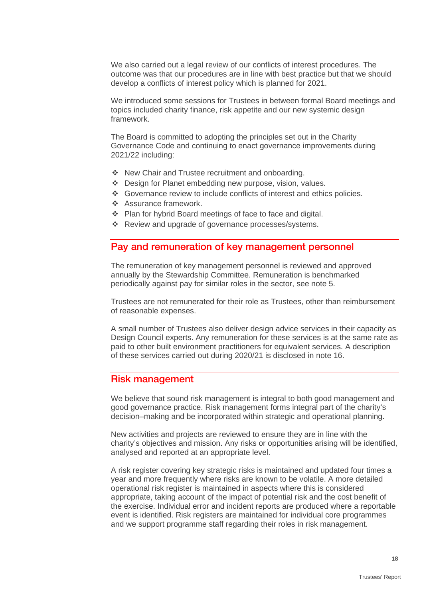We also carried out a legal review of our conflicts of interest procedures. The outcome was that our procedures are in line with best practice but that we should develop a conflicts of interest policy which is planned for 2021.

We introduced some sessions for Trustees in between formal Board meetings and topics included charity finance, risk appetite and our new systemic design framework.

The Board is committed to adopting the principles set out in the Charity Governance Code and continuing to enact governance improvements during 2021/22 including:

- ◆ New Chair and Trustee recruitment and onboarding.
- Design for Planet embedding new purpose, vision, values.
- Governance review to include conflicts of interest and ethics policies.
- ❖ Assurance framework.
- Plan for hybrid Board meetings of face to face and digital.
- \* Review and upgrade of governance processes/systems.

### Pay and remuneration of key management personnel

The remuneration of key management personnel is reviewed and approved annually by the Stewardship Committee. Remuneration is benchmarked periodically against pay for similar roles in the sector, see note 5.

Trustees are not remunerated for their role as Trustees, other than reimbursement of reasonable expenses.

A small number of Trustees also deliver design advice services in their capacity as Design Council experts. Any remuneration for these services is at the same rate as paid to other built environment practitioners for equivalent services. A description of these services carried out during 2020/21 is disclosed in note 16.

### Risk management

We believe that sound risk management is integral to both good management and good governance practice. Risk management forms integral part of the charity's decision–making and be incorporated within strategic and operational planning.

New activities and projects are reviewed to ensure they are in line with the charity's objectives and mission. Any risks or opportunities arising will be identified, analysed and reported at an appropriate level.

A risk register covering key strategic risks is maintained and updated four times a year and more frequently where risks are known to be volatile. A more detailed operational risk register is maintained in aspects where this is considered appropriate, taking account of the impact of potential risk and the cost benefit of the exercise. Individual error and incident reports are produced where a reportable event is identified. Risk registers are maintained for individual core programmes and we support programme staff regarding their roles in risk management.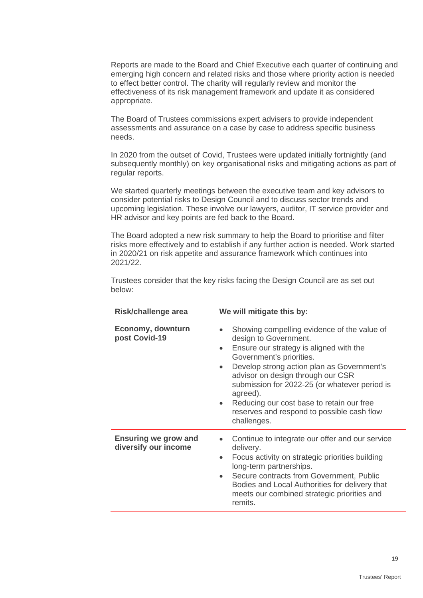Reports are made to the Board and Chief Executive each quarter of continuing and emerging high concern and related risks and those where priority action is needed to effect better control. The charity will regularly review and monitor the effectiveness of its risk management framework and update it as considered appropriate.

The Board of Trustees commissions expert advisers to provide independent assessments and assurance on a case by case to address specific business needs.

In 2020 from the outset of Covid, Trustees were updated initially fortnightly (and subsequently monthly) on key organisational risks and mitigating actions as part of regular reports.

We started quarterly meetings between the executive team and key advisors to consider potential risks to Design Council and to discuss sector trends and upcoming legislation. These involve our lawyers, auditor, IT service provider and HR advisor and key points are fed back to the Board.

The Board adopted a new risk summary to help the Board to prioritise and filter risks more effectively and to establish if any further action is needed. Work started in 2020/21 on risk appetite and assurance framework which continues into 2021/22.

Trustees consider that the key risks facing the Design Council are as set out below:

| Risk/challenge area                                 | We will mitigate this by:                                                                                                                                                                                                                                                                                                                                                                                                                    |
|-----------------------------------------------------|----------------------------------------------------------------------------------------------------------------------------------------------------------------------------------------------------------------------------------------------------------------------------------------------------------------------------------------------------------------------------------------------------------------------------------------------|
| Economy, downturn<br>post Covid-19                  | Showing compelling evidence of the value of<br>design to Government.<br>Ensure our strategy is aligned with the<br>$\bullet$<br>Government's priorities.<br>Develop strong action plan as Government's<br>$\bullet$<br>advisor on design through our CSR<br>submission for 2022-25 (or whatever period is<br>agreed).<br>Reducing our cost base to retain our free<br>$\bullet$<br>reserves and respond to possible cash flow<br>challenges. |
| <b>Ensuring we grow and</b><br>diversify our income | Continue to integrate our offer and our service<br>$\bullet$<br>delivery.<br>Focus activity on strategic priorities building<br>long-term partnerships.<br>Secure contracts from Government, Public<br>$\bullet$<br>Bodies and Local Authorities for delivery that<br>meets our combined strategic priorities and<br>remits.                                                                                                                 |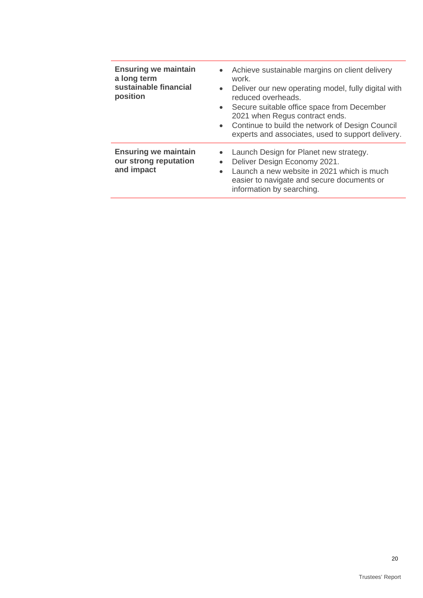| <b>Ensuring we maintain</b><br>a long term<br>sustainable financial<br>position | Achieve sustainable margins on client delivery<br>$\bullet$<br>work.<br>Deliver our new operating model, fully digital with<br>$\bullet$<br>reduced overheads.<br>Secure suitable office space from December<br>$\bullet$<br>2021 when Regus contract ends.<br>Continue to build the network of Design Council<br>$\bullet$<br>experts and associates, used to support delivery. |
|---------------------------------------------------------------------------------|----------------------------------------------------------------------------------------------------------------------------------------------------------------------------------------------------------------------------------------------------------------------------------------------------------------------------------------------------------------------------------|
| <b>Ensuring we maintain</b><br>our strong reputation<br>and impact              | Launch Design for Planet new strategy.<br>$\bullet$<br>Deliver Design Economy 2021.<br>$\bullet$<br>Launch a new website in 2021 which is much<br>$\bullet$<br>easier to navigate and secure documents or<br>information by searching.                                                                                                                                           |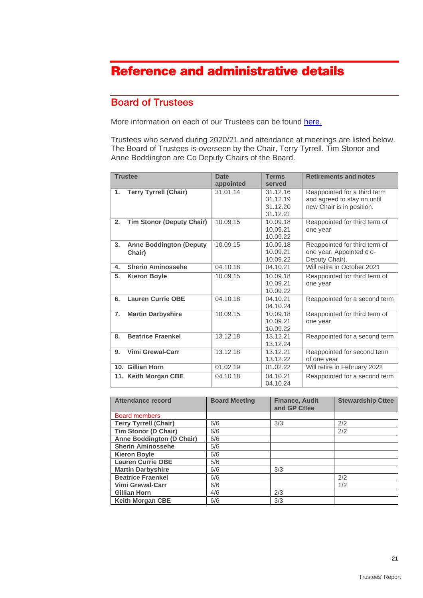## <span id="page-20-0"></span>Reference and administrative details

## Board of Trustees

More information on each of our Trustees can be found [here.](https://www.designcouncil.org.uk/about-us/governance)

Trustees who served during 2020/21 and attendance at meetings are listed below. The Board of Trustees is overseen by the Chair, Terry Tyrrell. Tim Stonor and Anne Boddington are Co Deputy Chairs of the Board.

|                  | <b>Trustee</b>                           | <b>Date</b><br>appointed | <b>Terms</b><br>served                       | <b>Retirements and notes</b>                                                             |
|------------------|------------------------------------------|--------------------------|----------------------------------------------|------------------------------------------------------------------------------------------|
| 1.               | <b>Terry Tyrrell (Chair)</b>             | 31.01.14                 | 31.12.16<br>31.12.19<br>31.12.20<br>31.12.21 | Reappointed for a third term<br>and agreed to stay on until<br>new Chair is in position. |
| 2.               | <b>Tim Stonor (Deputy Chair)</b>         | 10.09.15                 | 10.09.18<br>10.09.21<br>10.09.22             | Reappointed for third term of<br>one year                                                |
| 3.               | <b>Anne Boddington (Deputy</b><br>Chair) | 10.09.15                 | 10.09.18<br>10.09.21<br>10.09.22             | Reappointed for third term of<br>one year. Appointed c o-<br>Deputy Chair).              |
| 4.               | <b>Sherin Aminossehe</b>                 | 04.10.18                 | 04.10.21                                     | Will retire in October 2021                                                              |
| 5.               | <b>Kieron Boyle</b>                      | 10.09.15                 | 10.09.18<br>10.09.21<br>10.09.22             | Reappointed for third term of<br>one year                                                |
| 6.               | <b>Lauren Currie OBE</b>                 | 04.10.18                 | 04.10.21<br>04.10.24                         | Reappointed for a second term                                                            |
| $\overline{7}$ . | <b>Martin Darbyshire</b>                 | 10.09.15                 | 10.09.18<br>10.09.21<br>10.09.22             | Reappointed for third term of<br>one year                                                |
| 8.               | <b>Beatrice Fraenkel</b>                 | 13.12.18                 | 13.12.21<br>13.12.24                         | Reappointed for a second term                                                            |
| 9.               | <b>Vimi Grewal-Carr</b>                  | 13.12.18                 | 13.12.21<br>13.12.22                         | Reappointed for second term<br>of one year                                               |
|                  | 10. Gillian Horn                         | 01.02.19                 | 01.02.22                                     | Will retire in February 2022                                                             |
|                  | 11. Keith Morgan CBE                     | 04.10.18                 | 04.10.21<br>04.10.24                         | Reappointed for a second term                                                            |

| Attendance record                | <b>Board Meeting</b> | <b>Finance, Audit</b><br>and GP Cttee | <b>Stewardship Cttee</b> |
|----------------------------------|----------------------|---------------------------------------|--------------------------|
| <b>Board members</b>             |                      |                                       |                          |
| <b>Terry Tyrrell (Chair)</b>     | 6/6                  | 3/3                                   | 2/2                      |
| <b>Tim Stonor (D Chair)</b>      | 6/6                  |                                       | 2/2                      |
| <b>Anne Boddington (D Chair)</b> | 6/6                  |                                       |                          |
| <b>Sherin Aminossehe</b>         | 5/6                  |                                       |                          |
| <b>Kieron Boyle</b>              | 6/6                  |                                       |                          |
| <b>Lauren Currie OBE</b>         | 5/6                  |                                       |                          |
| <b>Martin Darbyshire</b>         | 6/6                  | 3/3                                   |                          |
| <b>Beatrice Fraenkel</b>         | 6/6                  |                                       | 2/2                      |
| <b>Vimi Grewal-Carr</b>          | 6/6                  |                                       | 1/2                      |
| <b>Gillian Horn</b>              | 4/6                  | 2/3                                   |                          |
| <b>Keith Morgan CBE</b>          | 6/6                  | 3/3                                   |                          |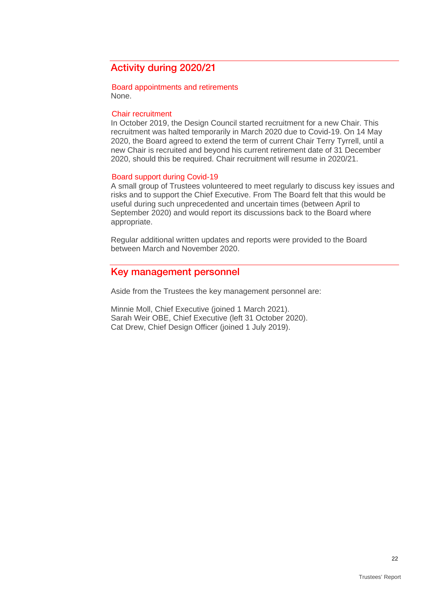## Activity during 2020/21

Board appointments and retirements None.

#### Chair recruitment

In October 2019, the Design Council started recruitment for a new Chair. This recruitment was halted temporarily in March 2020 due to Covid-19. On 14 May 2020, the Board agreed to extend the term of current Chair Terry Tyrrell, until a new Chair is recruited and beyond his current retirement date of 31 December 2020, should this be required. Chair recruitment will resume in 2020/21.

#### Board support during Covid-19

A small group of Trustees volunteered to meet regularly to discuss key issues and risks and to support the Chief Executive. From The Board felt that this would be useful during such unprecedented and uncertain times (between April to September 2020) and would report its discussions back to the Board where appropriate.

Regular additional written updates and reports were provided to the Board between March and November 2020.

### Key management personnel

Aside from the Trustees the key management personnel are:

Minnie Moll, Chief Executive (joined 1 March 2021). Sarah Weir OBE, Chief Executive (left 31 October 2020). Cat Drew, Chief Design Officer (joined 1 July 2019).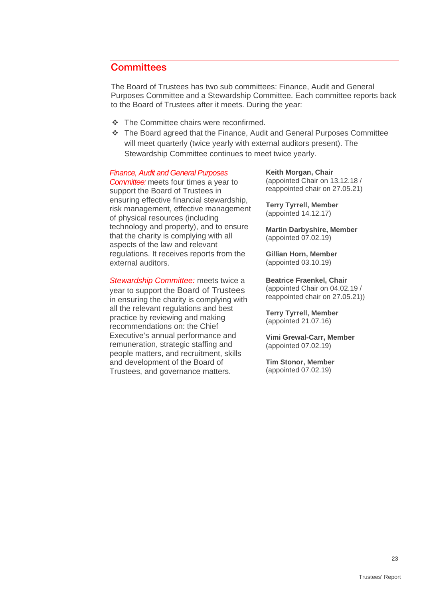## **Committees**

The Board of Trustees has two sub committees: Finance, Audit and General Purposes Committee and a Stewardship Committee. Each committee reports back to the Board of Trustees after it meets. During the year:

- The Committee chairs were reconfirmed.
- The Board agreed that the Finance, Audit and General Purposes Committee will meet quarterly (twice yearly with external auditors present). The Stewardship Committee continues to meet twice yearly.

#### *Finance, Audit and General Purposes*

*Committee:* meets four times a year to support the Board of Trustees in ensuring effective financial stewardship, risk management, effective management of physical resources (including technology and property), and to ensure that the charity is complying with all aspects of the law and relevant regulations. It receives reports from the external auditors.

*Stewardship Committee:* meets twice a year to support the Board of Trustees in ensuring the charity is complying with all the relevant regulations and best practice by reviewing and making recommendations on: the Chief Executive's annual performance and remuneration, strategic staffing and people matters, and recruitment, skills and development of the Board of Trustees, and governance matters.

**Keith Morgan, Chair** (appointed Chair on 13.12.18 / reappointed chair on 27.05.21)

**Terry Tyrrell, Member** (appointed 14.12.17)

**Martin Darbyshire, Member** (appointed 07.02.19)

**Gillian Horn, Member** (appointed 03.10.19)

**Beatrice Fraenkel, Chair** (appointed Chair on 04.02.19 / reappointed chair on 27.05.21))

**Terry Tyrrell, Member** (appointed 21.07.16)

**Vimi Grewal-Carr, Member** (appointed 07.02.19)

**Tim Stonor, Member** (appointed 07.02.19)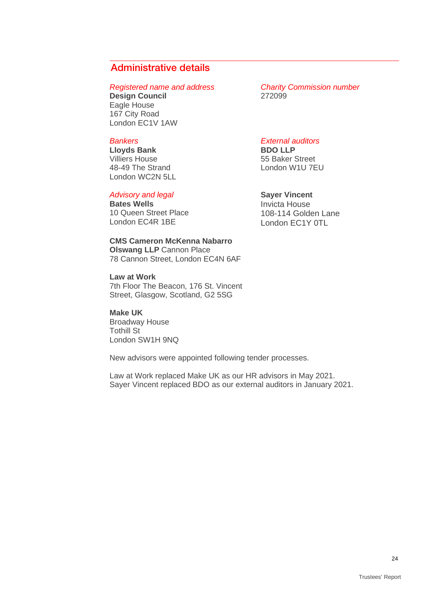## Administrative details

**Design Council** Eagle House 167 City Road London EC1V 1AW

#### *Bankers*

**Lloyds Bank** Villiers House 48-49 The Strand London WC2N 5LL

#### *Advisory and legal*

**Bates Wells**  10 Queen Street Place London EC4R 1BE

**CMS Cameron McKenna Nabarro Olswang LLP** Cannon Place 78 Cannon Street, London EC4N 6AF

**Law at Work** 7th Floor The Beacon, 176 St. Vincent Street, Glasgow, Scotland, G2 5SG

**Make UK** Broadway House Tothill St London SW1H 9NQ

New advisors were appointed following tender processes.

Law at Work replaced Make UK as our HR advisors in May 2021. Sayer Vincent replaced BDO as our external auditors in January 2021.

*Registered name and address Charity Commission number*

#### *External auditors*

**BDO LLP** 55 Baker Street London W1U 7EU

#### **Sayer Vincent**

Invicta House 108-114 Golden Lane London EC1Y 0TL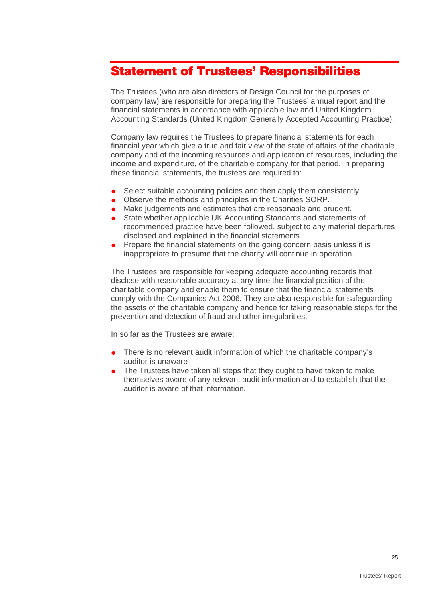## <span id="page-24-0"></span>Statement of Trustees' Responsibilities

The Trustees (who are also directors of Design Council for the purposes of company law) are responsible for preparing the Trustees' annual report and the financial statements in accordance with applicable law and United Kingdom Accounting Standards (United Kingdom Generally Accepted Accounting Practice).

Company law requires the Trustees to prepare financial statements for each financial year which give a true and fair view of the state of affairs of the charitable company and of the incoming resources and application of resources, including the income and expenditure, of the charitable company for that period. In preparing these financial statements, the trustees are required to:

- Select suitable accounting policies and then apply them consistently.
- Observe the methods and principles in the Charities SORP.
- Make judgements and estimates that are reasonable and prudent.
- State whether applicable UK Accounting Standards and statements of recommended practice have been followed, subject to any material departures disclosed and explained in the financial statements.
- Prepare the financial statements on the going concern basis unless it is inappropriate to presume that the charity will continue in operation.

The Trustees are responsible for keeping adequate accounting records that disclose with reasonable accuracy at any time the financial position of the charitable company and enable them to ensure that the financial statements comply with the Companies Act 2006. They are also responsible for safeguarding the assets of the charitable company and hence for taking reasonable steps for the prevention and detection of fraud and other irregularities.

In so far as the Trustees are aware:

- There is no relevant audit information of which the charitable company's auditor is unaware
- The Trustees have taken all steps that they ought to have taken to make themselves aware of any relevant audit information and to establish that the auditor is aware of that information.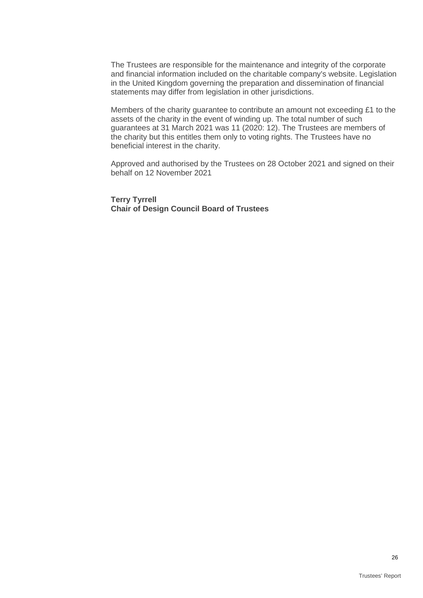The Trustees are responsible for the maintenance and integrity of the corporate and financial information included on the charitable company's website. Legislation in the United Kingdom governing the preparation and dissemination of financial statements may differ from legislation in other jurisdictions.

Members of the charity guarantee to contribute an amount not exceeding £1 to the assets of the charity in the event of winding up. The total number of such guarantees at 31 March 2021 was 11 (2020: 12). The Trustees are members of the charity but this entitles them only to voting rights. The Trustees have no beneficial interest in the charity.

Approved and authorised by the Trustees on 28 October 2021 and signed on their behalf on 12 November 2021

**Terry Tyrrell Chair of Design Council Board of Trustees**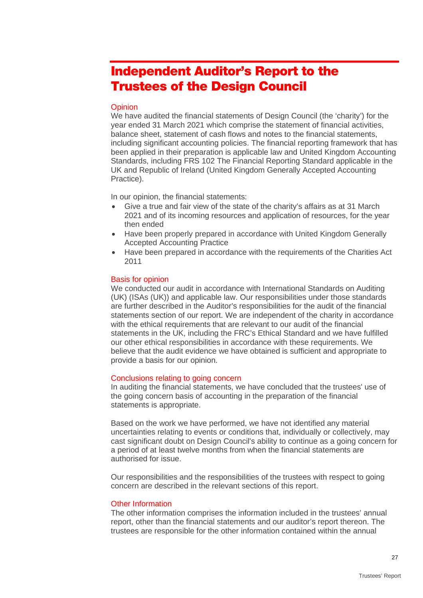## <span id="page-26-0"></span>Independent Auditor's Report to the Trustees of the Design Council

#### **Opinion**

We have audited the financial statements of Design Council (the 'charity') for the year ended 31 March 2021 which comprise the statement of financial activities, balance sheet, statement of cash flows and notes to the financial statements, including significant accounting policies. The financial reporting framework that has been applied in their preparation is applicable law and United Kingdom Accounting Standards, including FRS 102 The Financial Reporting Standard applicable in the UK and Republic of Ireland (United Kingdom Generally Accepted Accounting Practice).

In our opinion, the financial statements:

- Give a true and fair view of the state of the charity's affairs as at 31 March 2021 and of its incoming resources and application of resources, for the year then ended
- Have been properly prepared in accordance with United Kingdom Generally Accepted Accounting Practice
- Have been prepared in accordance with the requirements of the Charities Act 2011

#### Basis for opinion

We conducted our audit in accordance with International Standards on Auditing (UK) (ISAs (UK)) and applicable law. Our responsibilities under those standards are further described in the Auditor's responsibilities for the audit of the financial statements section of our report. We are independent of the charity in accordance with the ethical requirements that are relevant to our audit of the financial statements in the UK, including the FRC's Ethical Standard and we have fulfilled our other ethical responsibilities in accordance with these requirements. We believe that the audit evidence we have obtained is sufficient and appropriate to provide a basis for our opinion.

#### Conclusions relating to going concern

In auditing the financial statements, we have concluded that the trustees' use of the going concern basis of accounting in the preparation of the financial statements is appropriate.

Based on the work we have performed, we have not identified any material uncertainties relating to events or conditions that, individually or collectively, may cast significant doubt on Design Council's ability to continue as a going concern for a period of at least twelve months from when the financial statements are authorised for issue.

Our responsibilities and the responsibilities of the trustees with respect to going concern are described in the relevant sections of this report.

#### Other Information

The other information comprises the information included in the trustees' annual report, other than the financial statements and our auditor's report thereon. The trustees are responsible for the other information contained within the annual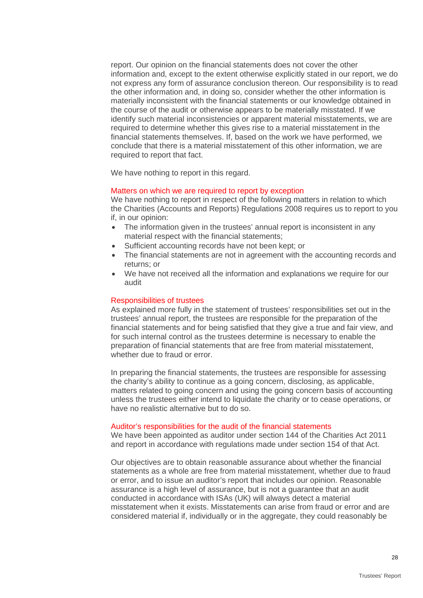report. Our opinion on the financial statements does not cover the other information and, except to the extent otherwise explicitly stated in our report, we do not express any form of assurance conclusion thereon. Our responsibility is to read the other information and, in doing so, consider whether the other information is materially inconsistent with the financial statements or our knowledge obtained in the course of the audit or otherwise appears to be materially misstated. If we identify such material inconsistencies or apparent material misstatements, we are required to determine whether this gives rise to a material misstatement in the financial statements themselves. If, based on the work we have performed, we conclude that there is a material misstatement of this other information, we are required to report that fact.

We have nothing to report in this regard.

#### Matters on which we are required to report by exception

We have nothing to report in respect of the following matters in relation to which the Charities (Accounts and Reports) Regulations 2008 requires us to report to you if, in our opinion:

- The information given in the trustees' annual report is inconsistent in any material respect with the financial statements;
- Sufficient accounting records have not been kept; or
- The financial statements are not in agreement with the accounting records and returns; or
- We have not received all the information and explanations we require for our audit

#### Responsibilities of trustees

As explained more fully in the statement of trustees' responsibilities set out in the trustees' annual report, the trustees are responsible for the preparation of the financial statements and for being satisfied that they give a true and fair view, and for such internal control as the trustees determine is necessary to enable the preparation of financial statements that are free from material misstatement, whether due to fraud or error.

In preparing the financial statements, the trustees are responsible for assessing the charity's ability to continue as a going concern, disclosing, as applicable, matters related to going concern and using the going concern basis of accounting unless the trustees either intend to liquidate the charity or to cease operations, or have no realistic alternative but to do so.

#### Auditor's responsibilities for the audit of the financial statements

We have been appointed as auditor under section 144 of the Charities Act 2011 and report in accordance with regulations made under section 154 of that Act.

Our objectives are to obtain reasonable assurance about whether the financial statements as a whole are free from material misstatement, whether due to fraud or error, and to issue an auditor's report that includes our opinion. Reasonable assurance is a high level of assurance, but is not a guarantee that an audit conducted in accordance with ISAs (UK) will always detect a material misstatement when it exists. Misstatements can arise from fraud or error and are considered material if, individually or in the aggregate, they could reasonably be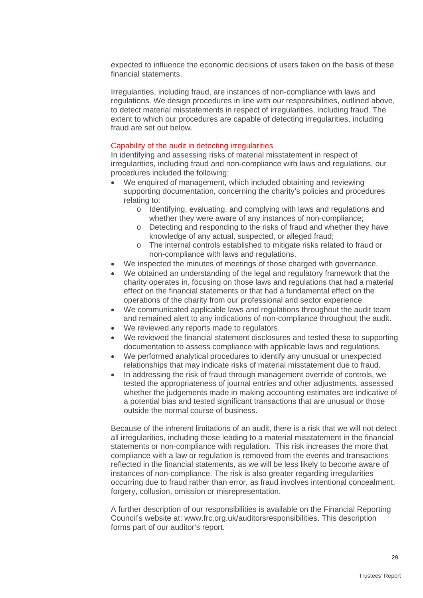expected to influence the economic decisions of users taken on the basis of these financial statements.

Irregularities, including fraud, are instances of non-compliance with laws and regulations. We design procedures in line with our responsibilities, outlined above, to detect material misstatements in respect of irregularities, including fraud. The extent to which our procedures are capable of detecting irregularities, including fraud are set out below.

#### Capability of the audit in detecting irregularities

In identifying and assessing risks of material misstatement in respect of irregularities, including fraud and non-compliance with laws and regulations, our procedures included the following:

- We enquired of management, which included obtaining and reviewing supporting documentation, concerning the charity's policies and procedures relating to:
	- o Identifying, evaluating, and complying with laws and regulations and whether they were aware of any instances of non-compliance;
	- o Detecting and responding to the risks of fraud and whether they have knowledge of any actual, suspected, or alleged fraud;
	- o The internal controls established to mitigate risks related to fraud or non-compliance with laws and regulations.
- We inspected the minutes of meetings of those charged with governance.
- We obtained an understanding of the legal and regulatory framework that the charity operates in, focusing on those laws and regulations that had a material effect on the financial statements or that had a fundamental effect on the operations of the charity from our professional and sector experience.
- We communicated applicable laws and regulations throughout the audit team and remained alert to any indications of non-compliance throughout the audit.
- We reviewed any reports made to regulators.
- We reviewed the financial statement disclosures and tested these to supporting documentation to assess compliance with applicable laws and regulations.
- We performed analytical procedures to identify any unusual or unexpected relationships that may indicate risks of material misstatement due to fraud.
- In addressing the risk of fraud through management override of controls, we tested the appropriateness of journal entries and other adjustments, assessed whether the judgements made in making accounting estimates are indicative of a potential bias and tested significant transactions that are unusual or those outside the normal course of business.

Because of the inherent limitations of an audit, there is a risk that we will not detect all irregularities, including those leading to a material misstatement in the financial statements or non-compliance with regulation. This risk increases the more that compliance with a law or regulation is removed from the events and transactions reflected in the financial statements, as we will be less likely to become aware of instances of non-compliance. The risk is also greater regarding irregularities occurring due to fraud rather than error, as fraud involves intentional concealment, forgery, collusion, omission or misrepresentation.

A further description of our responsibilities is available on the Financial Reporting Council's website at: [www.frc.org.uk/auditorsresponsibilities.](http://www.frc.org.uk/auditorsresponsibilities) This description forms part of our auditor's report.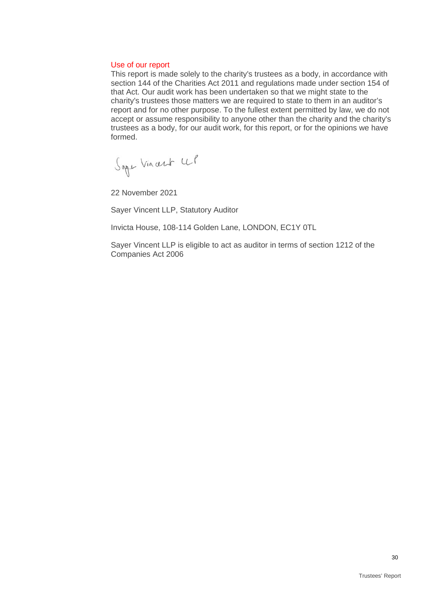#### Use of our report

This report is made solely to the charity's trustees as a body, in accordance with section 144 of the Charities Act 2011 and regulations made under section 154 of that Act. Our audit work has been undertaken so that we might state to the charity's trustees those matters we are required to state to them in an auditor's report and for no other purpose. To the fullest extent permitted by law, we do not accept or assume responsibility to anyone other than the charity and the charity's trustees as a body, for our audit work, for this report, or for the opinions we have formed.

Sape Vincent UP

22 November 2021

Sayer Vincent LLP, Statutory Auditor

Invicta House, 108-114 Golden Lane, LONDON, EC1Y 0TL

Sayer Vincent LLP is eligible to act as auditor in terms of section 1212 of the Companies Act 2006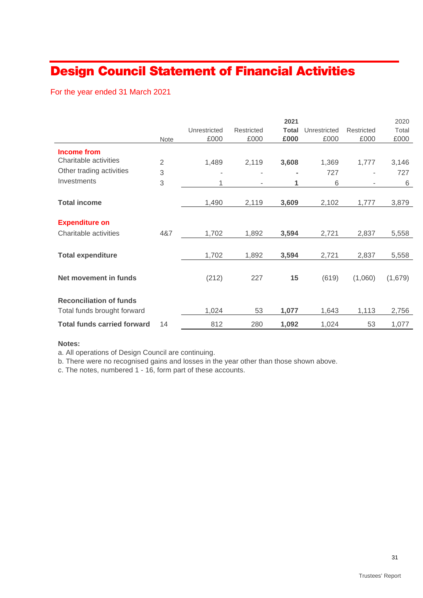## <span id="page-30-0"></span>Design Council Statement of Financial Activities

For the year ended 31 March 2021

|                                    |                |              |            | 2021         |              |            | 2020    |
|------------------------------------|----------------|--------------|------------|--------------|--------------|------------|---------|
|                                    |                | Unrestricted | Restricted | <b>Total</b> | Unrestricted | Restricted | Total   |
|                                    | <b>Note</b>    | £000         | £000       | £000         | £000         | £000       | £000    |
| <b>Income from</b>                 |                |              |            |              |              |            |         |
| Charitable activities              | $\overline{2}$ | 1,489        | 2,119      | 3,608        | 1,369        | 1,777      | 3,146   |
| Other trading activities           | 3              |              | ٠          |              | 727          |            | 727     |
| Investments                        | 3              | 1            |            | 1            | 6            |            | 6       |
|                                    |                |              |            |              |              |            |         |
| <b>Total income</b>                |                | 1,490        | 2,119      | 3,609        | 2,102        | 1,777      | 3,879   |
|                                    |                |              |            |              |              |            |         |
| <b>Expenditure on</b>              |                |              |            |              |              |            |         |
| Charitable activities              | 4&7            | 1,702        | 1,892      | 3,594        | 2,721        | 2,837      | 5,558   |
|                                    |                |              |            |              |              |            |         |
| <b>Total expenditure</b>           |                | 1,702        | 1,892      | 3,594        | 2,721        | 2,837      | 5,558   |
|                                    |                |              |            |              |              |            |         |
| Net movement in funds              |                | (212)        | 227        | 15           | (619)        | (1,060)    | (1,679) |
|                                    |                |              |            |              |              |            |         |
| <b>Reconciliation of funds</b>     |                |              |            |              |              |            |         |
| Total funds brought forward        |                | 1,024        | 53         | 1,077        | 1,643        | 1,113      | 2,756   |
| <b>Total funds carried forward</b> | 14             | 812          | 280        | 1,092        | 1,024        | 53         | 1,077   |

#### **Notes:**

a. All operations of Design Council are continuing.

b. There were no recognised gains and losses in the year other than those shown above.

c. The notes, numbered 1 - 16, form part of these accounts.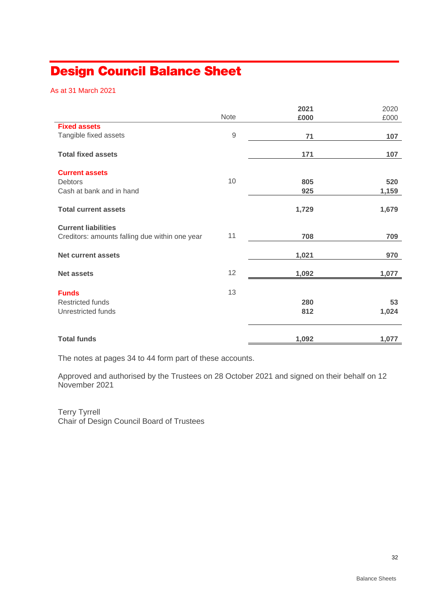## <span id="page-31-0"></span>Design Council Balance Sheet

As at 31 March 2021

|                                                |            | 2021  | 2020  |
|------------------------------------------------|------------|-------|-------|
|                                                | Note       | £000  | £000  |
| <b>Fixed assets</b>                            |            |       |       |
| Tangible fixed assets                          | $\hbox{9}$ | 71    | 107   |
|                                                |            |       |       |
| <b>Total fixed assets</b>                      |            | 171   | 107   |
|                                                |            |       |       |
| <b>Current assets</b>                          |            |       |       |
| <b>Debtors</b>                                 | 10         | 805   | 520   |
| Cash at bank and in hand                       |            | 925   | 1,159 |
|                                                |            |       |       |
| <b>Total current assets</b>                    |            | 1,729 | 1,679 |
|                                                |            |       |       |
| <b>Current liabilities</b>                     |            |       |       |
| Creditors: amounts falling due within one year | 11         | 708   | 709   |
|                                                |            |       |       |
| <b>Net current assets</b>                      |            | 1,021 | 970   |
|                                                | 12         |       |       |
| <b>Net assets</b>                              |            | 1,092 | 1,077 |
| <b>Funds</b>                                   | 13         |       |       |
| <b>Restricted funds</b>                        |            | 280   | 53    |
| Unrestricted funds                             |            |       |       |
|                                                |            | 812   | 1,024 |
|                                                |            |       |       |
| <b>Total funds</b>                             |            | 1,092 | 1,077 |

The notes at pages 34 to 44 form part of these accounts.

Approved and authorised by the Trustees on 28 October 2021 and signed on their behalf on 12 November 2021

Terry Tyrrell Chair of Design Council Board of Trustees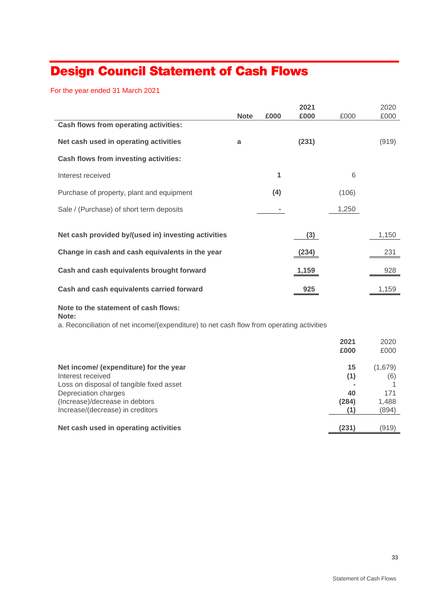## <span id="page-32-0"></span>Design Council Statement of Cash Flows

For the year ended 31 March 2021

|                                                                                                   |             |      | 2021  |           | 2020           |
|---------------------------------------------------------------------------------------------------|-------------|------|-------|-----------|----------------|
| Cash flows from operating activities:                                                             | <b>Note</b> | £000 | £000  | £000      | £000           |
| Net cash used in operating activities                                                             | a           |      | (231) |           | (919)          |
| <b>Cash flows from investing activities:</b>                                                      |             |      |       |           |                |
| Interest received                                                                                 |             | 1    |       | 6         |                |
| Purchase of property, plant and equipment                                                         |             | (4)  |       | (106)     |                |
| Sale / (Purchase) of short term deposits                                                          |             |      |       | 1,250     |                |
|                                                                                                   |             |      |       |           |                |
| Net cash provided by/(used in) investing activities                                               |             |      | (3)   |           | 1,150          |
| Change in cash and cash equivalents in the year                                                   |             |      | (234) |           | 231            |
| Cash and cash equivalents brought forward                                                         |             |      | 1,159 |           | 928            |
| Cash and cash equivalents carried forward                                                         |             |      | 925   |           | 1,159          |
| Note to the statement of cash flows:                                                              |             |      |       |           |                |
| Note:<br>a. Reconciliation of net income/(expenditure) to net cash flow from operating activities |             |      |       |           |                |
|                                                                                                   |             |      |       | 2021      | 2020           |
|                                                                                                   |             |      |       | £000      | £000           |
| Net income/ (expenditure) for the year<br>Interest received                                       |             |      |       | 15<br>(1) | (1,679)<br>(6) |

Loss on disposal of tangible fixed asset **-** 1 Depreciation charges **40** 171<br>(Increase)/decrease in debtors **171** (Increase) **40** 171 (Increase)/decrease in debtors **(284)** 1,488 Increase/(decrease) in creditors **(1)** (894)

**Net cash used in operating activities (231)** (919)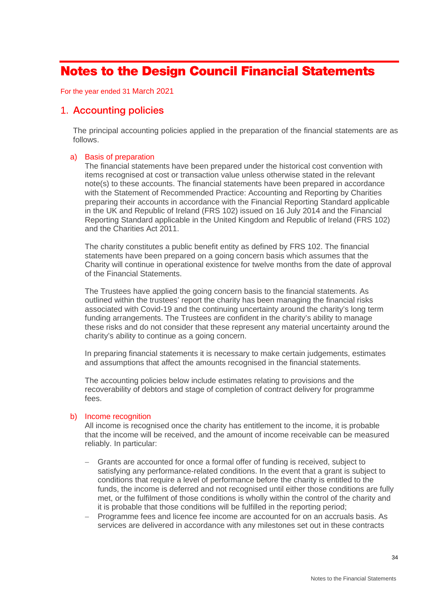## <span id="page-33-0"></span>Notes to the Design Council Financial Statements

For the year ended 31 March 2021

### 1. Accounting policies

The principal accounting policies applied in the preparation of the financial statements are as follows.

#### a) Basis of preparation

The financial statements have been prepared under the historical cost convention with items recognised at cost or transaction value unless otherwise stated in the relevant note(s) to these accounts. The financial statements have been prepared in accordance with the Statement of Recommended Practice: Accounting and Reporting by Charities preparing their accounts in accordance with the Financial Reporting Standard applicable in the UK and Republic of Ireland (FRS 102) issued on 16 July 2014 and the Financial Reporting Standard applicable in the United Kingdom and Republic of Ireland (FRS 102) and the Charities Act 2011.

The charity constitutes a public benefit entity as defined by FRS 102. The financial statements have been prepared on a going concern basis which assumes that the Charity will continue in operational existence for twelve months from the date of approval of the Financial Statements.

The Trustees have applied the going concern basis to the financial statements. As outlined within the trustees' report the charity has been managing the financial risks associated with Covid-19 and the continuing uncertainty around the charity's long term funding arrangements. The Trustees are confident in the charity's ability to manage these risks and do not consider that these represent any material uncertainty around the charity's ability to continue as a going concern.

In preparing financial statements it is necessary to make certain judgements, estimates and assumptions that affect the amounts recognised in the financial statements.

The accounting policies below include estimates relating to provisions and the recoverability of debtors and stage of completion of contract delivery for programme fees.

#### b) Income recognition

All income is recognised once the charity has entitlement to the income, it is probable that the income will be received, and the amount of income receivable can be measured reliably. In particular:

- Grants are accounted for once a formal offer of funding is received, subject to satisfying any performance-related conditions. In the event that a grant is subject to conditions that require a level of performance before the charity is entitled to the funds, the income is deferred and not recognised until either those conditions are fully met, or the fulfilment of those conditions is wholly within the control of the charity and it is probable that those conditions will be fulfilled in the reporting period;
- − Programme fees and licence fee income are accounted for on an accruals basis. As services are delivered in accordance with any milestones set out in these contracts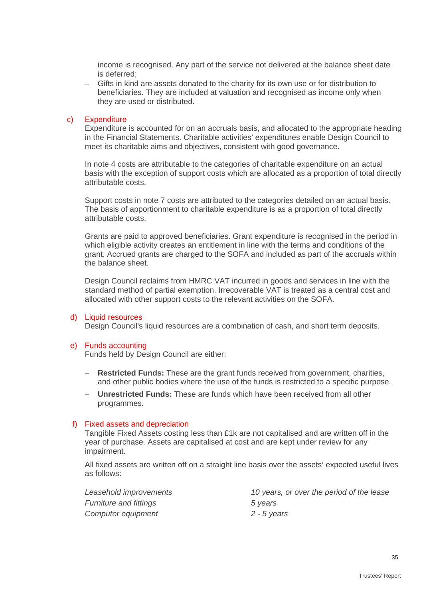income is recognised. Any part of the service not delivered at the balance sheet date is deferred;

− Gifts in kind are assets donated to the charity for its own use or for distribution to beneficiaries. They are included at valuation and recognised as income only when they are used or distributed.

#### c) Expenditure

Expenditure is accounted for on an accruals basis, and allocated to the appropriate heading in the Financial Statements. Charitable activities' expenditures enable Design Council to meet its charitable aims and objectives, consistent with good governance.

In note 4 costs are attributable to the categories of charitable expenditure on an actual basis with the exception of support costs which are allocated as a proportion of total directly attributable costs.

Support costs in note 7 costs are attributed to the categories detailed on an actual basis. The basis of apportionment to charitable expenditure is as a proportion of total directly attributable costs.

Grants are paid to approved beneficiaries. Grant expenditure is recognised in the period in which eligible activity creates an entitlement in line with the terms and conditions of the grant. Accrued grants are charged to the SOFA and included as part of the accruals within the balance sheet.

Design Council reclaims from HMRC VAT incurred in goods and services in line with the standard method of partial exemption. Irrecoverable VAT is treated as a central cost and allocated with other support costs to the relevant activities on the SOFA.

#### d) Liquid resources

Design Council's liquid resources are a combination of cash, and short term deposits.

#### e) Funds accounting

Funds held by Design Council are either:

- **Restricted Funds:** These are the grant funds received from government, charities, and other public bodies where the use of the funds is restricted to a specific purpose.
- − **Unrestricted Funds:** These are funds which have been received from all other programmes.

#### f) Fixed assets and depreciation

Tangible Fixed Assets costing less than £1k are not capitalised and are written off in the year of purchase. Assets are capitalised at cost and are kept under review for any impairment.

All fixed assets are written off on a straight line basis over the assets' expected useful lives as follows:

| Leasehold improvements        | 10 years, or over the period of the lease |
|-------------------------------|-------------------------------------------|
| <b>Furniture and fittings</b> | 5 years                                   |
| Computer equipment            | 2 - 5 years                               |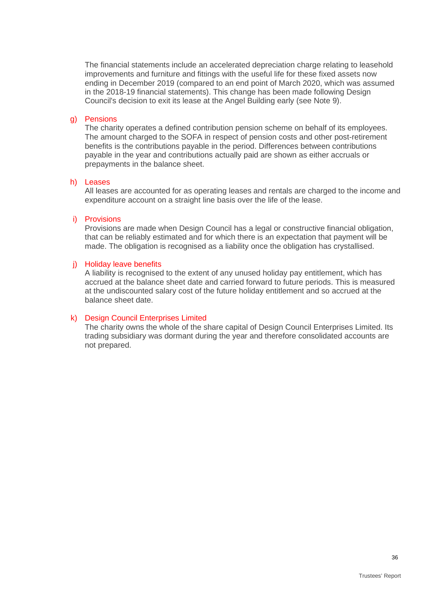The financial statements include an accelerated depreciation charge relating to leasehold improvements and furniture and fittings with the useful life for these fixed assets now ending in December 2019 (compared to an end point of March 2020, which was assumed in the 2018-19 financial statements). This change has been made following Design Council's decision to exit its lease at the Angel Building early (see Note 9).

#### g) Pensions

The charity operates a defined contribution pension scheme on behalf of its employees. The amount charged to the SOFA in respect of pension costs and other post-retirement benefits is the contributions payable in the period. Differences between contributions payable in the year and contributions actually paid are shown as either accruals or prepayments in the balance sheet.

#### h) Leases

All leases are accounted for as operating leases and rentals are charged to the income and expenditure account on a straight line basis over the life of the lease.

#### i) Provisions

Provisions are made when Design Council has a legal or constructive financial obligation, that can be reliably estimated and for which there is an expectation that payment will be made. The obligation is recognised as a liability once the obligation has crystallised.

#### j) Holiday leave benefits

A liability is recognised to the extent of any unused holiday pay entitlement, which has accrued at the balance sheet date and carried forward to future periods. This is measured at the undiscounted salary cost of the future holiday entitlement and so accrued at the balance sheet date.

#### k) Design Council Enterprises Limited

The charity owns the whole of the share capital of Design Council Enterprises Limited. Its trading subsidiary was dormant during the year and therefore consolidated accounts are not prepared.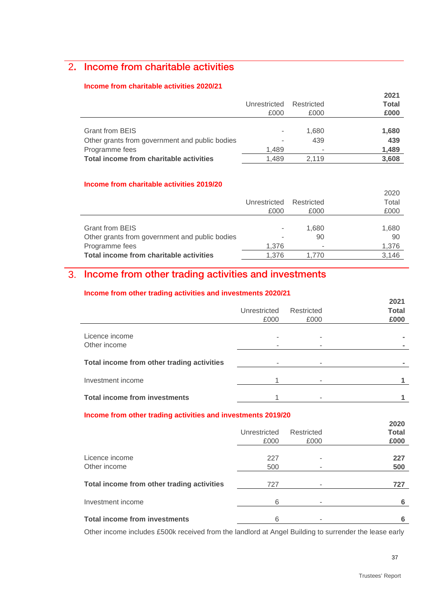## 2**.** Income from charitable activities

#### **Income from charitable activities 2020/21**

|                                                | Unrestricted<br>£000 | Restricted<br>£000 | 2021<br><b>Total</b><br>£000 |
|------------------------------------------------|----------------------|--------------------|------------------------------|
| <b>Grant from BEIS</b>                         |                      | 1,680              | 1,680                        |
| Other grants from government and public bodies |                      | 439                | 439                          |
| Programme fees                                 | 1.489                | ۰                  | 1,489                        |
| Total income from charitable activities        | 1.489                | 2.119              | 3,608                        |

#### **Income from charitable activities 2019/20**

|                                                | Unrestricted<br>£000     | Restricted<br>£000 | 2020<br>Total<br>£000 |
|------------------------------------------------|--------------------------|--------------------|-----------------------|
| <b>Grant from BEIS</b>                         | $\overline{\phantom{a}}$ | 1,680              | 1,680                 |
| Other grants from government and public bodies |                          | 90                 | 90                    |
| Programme fees                                 | 1,376                    |                    | 1,376                 |
| Total income from charitable activities        | 1.376                    | 1.770              | 3,146                 |

## 3. Income from other trading activities and investments

#### **Income from other trading activities and investments 2020/21**

|                                            | Unrestricted<br>£000 | Restricted<br>£000 | 2021<br><b>Total</b><br>£000 |
|--------------------------------------------|----------------------|--------------------|------------------------------|
| Licence income<br>Other income             |                      |                    |                              |
| Total income from other trading activities |                      |                    |                              |
| Investment income                          |                      |                    |                              |
| <b>Total income from investments</b>       |                      |                    |                              |

#### **Income from other trading activities and investments 2019/20**

|                                            | Unrestricted<br>£000 | Restricted<br>£000 | 2020<br><b>Total</b><br>£000 |
|--------------------------------------------|----------------------|--------------------|------------------------------|
| Licence income<br>Other income             | 227<br>500           |                    | 227<br>500                   |
| Total income from other trading activities | 727                  | ۰                  | 727                          |
| Investment income                          | 6                    |                    | 6                            |
| <b>Total income from investments</b>       | 6                    |                    |                              |

Other income includes £500k received from the landlord at Angel Building to surrender the lease early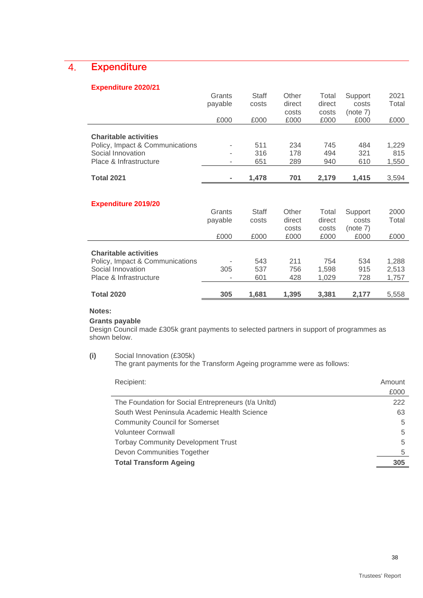## 4. Expenditure

#### **Expenditure 2020/21**

|                                 | Grants  | Staff        | Other  | Total  | Support  | 2021  |
|---------------------------------|---------|--------------|--------|--------|----------|-------|
|                                 | payable | costs        | direct | direct | costs    | Total |
|                                 |         |              | costs  | costs  | (note 7) |       |
|                                 | £000    | £000         | £000   | £000   | £000     | £000  |
|                                 |         |              |        |        |          |       |
| <b>Charitable activities</b>    |         |              |        |        |          |       |
| Policy, Impact & Communications |         | 511          | 234    | 745    | 484      | 1,229 |
| Social Innovation               |         | 316          | 178    | 494    | 321      | 815   |
| Place & Infrastructure          |         | 651          | 289    | 940    | 610      | 1,550 |
|                                 |         |              |        |        |          |       |
| <b>Total 2021</b>               |         | 1,478        | 701    | 2,179  | 1,415    | 3,594 |
|                                 |         |              |        |        |          |       |
|                                 |         |              |        |        |          |       |
| <b>Expenditure 2019/20</b>      |         |              |        |        |          |       |
|                                 | Grants  | <b>Staff</b> | Other  | Total  | Support  | 2000  |
|                                 | payable | costs        | direct | direct | costs    | Total |
|                                 |         |              | costs  | costs  | (note 7) |       |
|                                 | £000    | £000         | £000   | £000   | £000     | £000  |
|                                 |         |              |        |        |          |       |
| <b>Charitable activities</b>    |         |              |        |        |          |       |
| Policy, Impact & Communications |         | 543          | 211    | 754    | 534      | 1,288 |
| Social Innovation               | 305     | 537          | 756    | 1,598  | 915      | 2,513 |
| Place & Infrastructure          |         | 601          | 428    | 1,029  | 728      | 1,757 |
|                                 |         |              |        |        |          |       |
| <b>Total 2020</b>               | 305     | 1,681        | 1,395  | 3,381  | 2,177    | 5,558 |

### **Notes:**

#### **Grants payable**

Design Council made £305k grant payments to selected partners in support of programmes as shown below.

#### **(i)** Social Innovation (£305k)

The grant payments for the Transform Ageing programme were as follows:

| Recipient:                                          | Amount |
|-----------------------------------------------------|--------|
|                                                     | £000   |
| The Foundation for Social Entrepreneurs (t/a Unitd) | 222    |
| South West Peninsula Academic Health Science        | 63     |
| <b>Community Council for Somerset</b>               | 5      |
| <b>Volunteer Cornwall</b>                           | 5      |
| <b>Torbay Community Development Trust</b>           | 5      |
| Devon Communities Together                          | 5      |
| <b>Total Transform Ageing</b>                       | 305    |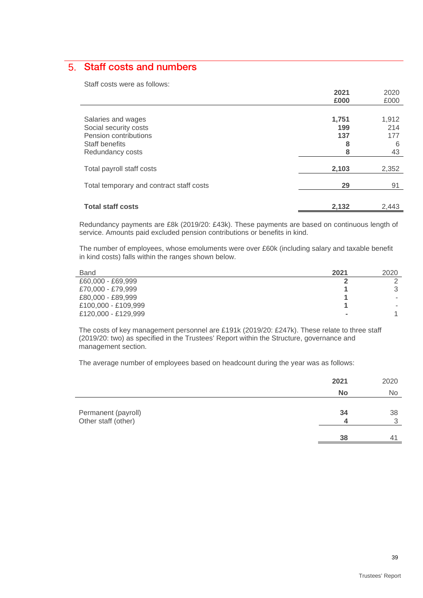## 5. Staff costs and numbers

Staff costs were as follows:

|                                          | 2021  | 2020  |
|------------------------------------------|-------|-------|
|                                          | £000  | £000  |
|                                          |       |       |
| Salaries and wages                       | 1,751 | 1,912 |
| Social security costs                    | 199   | 214   |
| Pension contributions                    | 137   | 177   |
| Staff benefits                           | 8     | 6     |
| Redundancy costs                         |       | 43    |
|                                          |       |       |
| Total payroll staff costs                | 2,103 | 2,352 |
|                                          |       |       |
| Total temporary and contract staff costs | 29    | 91    |
|                                          |       |       |
| <b>Total staff costs</b>                 | 2,132 | 2,443 |
|                                          |       |       |

Redundancy payments are £8k (2019/20: £43k). These payments are based on continuous length of service. Amounts paid excluded pension contributions or benefits in kind.

The number of employees, whose emoluments were over £60k (including salary and taxable benefit in kind costs) falls within the ranges shown below.

| <b>Band</b>         | 2021           | 2020   |
|---------------------|----------------|--------|
| £60,000 - £69,999   |                |        |
| £70,000 - £79,999   |                |        |
| £80,000 - £89,999   |                | $\sim$ |
| £100,000 - £109,999 |                |        |
| £120,000 - £129,999 | $\blacksquare$ |        |

The costs of key management personnel are £191k (2019/20: £247k). These relate to three staff (2019/20: two) as specified in the Trustees' Report within the Structure, governance and management section.

The average number of employees based on headcount during the year was as follows:

|                                            | 2021      | 2020      |
|--------------------------------------------|-----------|-----------|
|                                            | <b>No</b> | <b>No</b> |
| Permanent (payroll)<br>Other staff (other) | 34        | 38<br>◠   |
|                                            | 38        |           |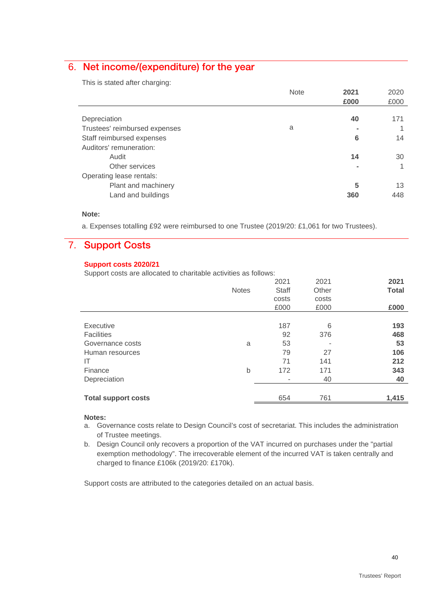## 6. Net income/(expenditure) for the year

This is stated after charging:

|                               | <b>Note</b> | 2021           | 2020 |
|-------------------------------|-------------|----------------|------|
|                               |             | £000           | £000 |
|                               |             |                |      |
| Depreciation                  |             | 40             | 171  |
| Trustees' reimbursed expenses | a           |                |      |
| Staff reimbursed expenses     |             | 6              | 14   |
| Auditors' remuneration:       |             |                |      |
| Audit                         |             | 14             | 30   |
| Other services                |             | $\blacksquare$ |      |
| Operating lease rentals:      |             |                |      |
| Plant and machinery           |             | 5              | 13   |
| Land and buildings            |             | 360            | 448  |
|                               |             |                |      |

#### **Note:**

a. Expenses totalling £92 were reimbursed to one Trustee (2019/20: £1,061 for two Trustees).

## 7. Support Costs

#### **Support costs 2020/21**

Support costs are allocated to charitable activities as follows:

|                            |              | 2021         | 2021  | 2021         |
|----------------------------|--------------|--------------|-------|--------------|
|                            | <b>Notes</b> | <b>Staff</b> | Other | <b>Total</b> |
|                            |              | costs        | costs |              |
|                            |              | £000         | £000  | £000         |
|                            |              |              |       |              |
| <b>Executive</b>           |              | 187          | 6     | 193          |
| <b>Facilities</b>          |              | 92           | 376   | 468          |
| Governance costs           | a            | 53           |       | 53           |
| Human resources            |              | 79           | 27    | 106          |
| IT                         |              | 71           | 141   | 212          |
| Finance                    | b            | 172          | 171   | 343          |
| Depreciation               |              |              | 40    | 40           |
|                            |              |              |       |              |
| <b>Total support costs</b> |              | 654          | 761   | 1,415        |
|                            |              |              |       |              |

#### **Notes:**

- a. Governance costs relate to Design Council's cost of secretariat. This includes the administration of Trustee meetings.
- b. Design Council only recovers a proportion of the VAT incurred on purchases under the "partial exemption methodology". The irrecoverable element of the incurred VAT is taken centrally and charged to finance £106k (2019/20: £170k).

Support costs are attributed to the categories detailed on an actual basis.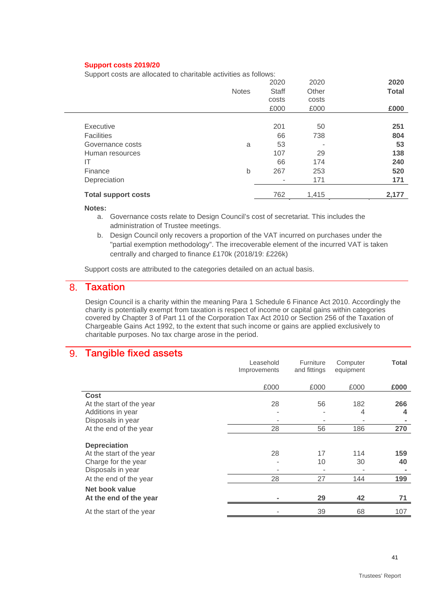#### **Support costs 2019/20**

Support costs are allocated to charitable activities as follows:

|                            |              | 2020         | 2020  | 2020         |
|----------------------------|--------------|--------------|-------|--------------|
|                            | <b>Notes</b> | <b>Staff</b> | Other | <b>Total</b> |
|                            |              | costs        | costs |              |
|                            |              | £000         | £000  | £000         |
|                            |              |              |       |              |
| Executive                  |              | 201          | 50    | 251          |
| <b>Facilities</b>          |              | 66           | 738   | 804          |
| Governance costs           | a            | 53           |       | 53           |
| Human resources            |              | 107          | 29    | 138          |
| IT                         |              | 66           | 174   | 240          |
| Finance                    | b            | 267          | 253   | 520          |
| Depreciation               |              |              | 171   | 171          |
| <b>Total support costs</b> |              | 762          | 1,415 | 2,177        |
|                            |              |              |       |              |

#### **Notes:**

a. Governance costs relate to Design Council's cost of secretariat. This includes the administration of Trustee meetings.

b. Design Council only recovers a proportion of the VAT incurred on purchases under the "partial exemption methodology". The irrecoverable element of the incurred VAT is taken centrally and charged to finance £170k (2018/19: £226k)

Support costs are attributed to the categories detailed on an actual basis.

## 8. Taxation

Design Council is a charity within the meaning Para 1 Schedule 6 Finance Act 2010. Accordingly the charity is potentially exempt from taxation is respect of income or capital gains within categories covered by Chapter 3 of Part 11 of the Corporation Tax Act 2010 or Section 256 of the Taxation of Chargeable Gains Act 1992, to the extent that such income or gains are applied exclusively to charitable purposes. No tax charge arose in the period.

#### 9. Tangible fixed assets

|                                                 | Leasehold<br>Improvements | Furniture<br>and fittings | Computer<br>equipment | <b>Total</b> |
|-------------------------------------------------|---------------------------|---------------------------|-----------------------|--------------|
|                                                 | £000                      | £000                      | £000                  | £000         |
| Cost                                            |                           |                           |                       |              |
| At the start of the year                        | 28                        | 56                        | 182                   | 266          |
| Additions in year                               |                           |                           | 4                     | 4            |
| Disposals in year                               |                           |                           |                       |              |
| At the end of the year                          | 28                        | 56                        | 186                   | 270          |
| <b>Depreciation</b><br>At the start of the year | 28                        | 17                        | 114                   | 159          |
| Charge for the year                             |                           | 10                        | 30                    | 40           |
| Disposals in year                               |                           |                           |                       |              |
| At the end of the year                          | 28                        | 27                        | 144                   | 199          |
| Net book value                                  |                           |                           |                       |              |
| At the end of the year                          |                           | 29                        | 42                    | 71           |
| At the start of the year                        |                           | 39                        | 68                    | 107          |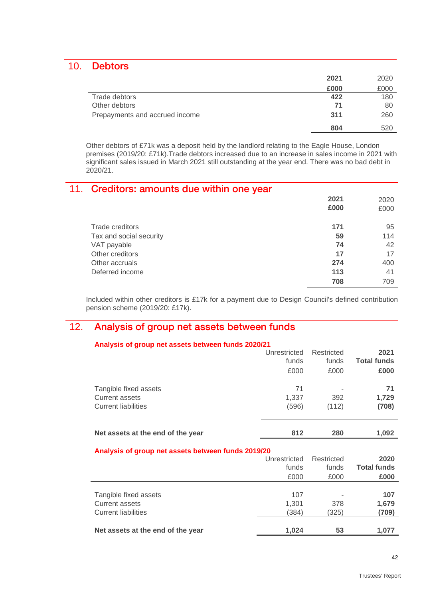### 10. Debtors

|                                | 2021 | 2020 |
|--------------------------------|------|------|
|                                | £000 | £000 |
| Trade debtors                  | 422  | 180  |
| Other debtors                  | 71   | 80   |
| Prepayments and accrued income | 311  | 260  |
|                                | 804  | 520  |

Other debtors of £71k was a deposit held by the landlord relating to the Eagle House, London premises (2019/20: £71k).Trade debtors increased due to an increase in sales income in 2021 with significant sales issued in March 2021 still outstanding at the year end. There was no bad debt in 2020/21.

## 11. Creditors: amounts due within one year

|                         | 2021 | 2020 |
|-------------------------|------|------|
|                         | £000 | £000 |
|                         |      |      |
| Trade creditors         | 171  | 95   |
| Tax and social security | 59   | 114  |
| VAT payable             | 74   | 42   |
| Other creditors         | 17   | 17   |
| Other accruals          | 274  | 400  |
| Deferred income         | 113  | 41   |
|                         | 708  | 709  |

Included within other creditors is £17k for a payment due to Design Council's defined contribution pension scheme (2019/20: £17k).

## 12. Analysis of group net assets between funds

| Analysis of group net assets between funds 2020/21 |              |            |                    |  |
|----------------------------------------------------|--------------|------------|--------------------|--|
|                                                    | Unrestricted | Restricted | 2021               |  |
|                                                    | funds        | funds      | <b>Total funds</b> |  |
|                                                    | £000         | £000       | £000               |  |
|                                                    |              |            |                    |  |
| Tangible fixed assets                              | 71           |            | 71                 |  |
| <b>Current assets</b>                              | 1,337        | 392        | 1,729              |  |
| <b>Current liabilities</b>                         | (596)        | (112)      | (708)              |  |
|                                                    |              |            |                    |  |
|                                                    |              |            |                    |  |
| Net assets at the end of the year                  | 812          | 280        | 1,092              |  |
|                                                    |              |            |                    |  |
| Analysis of group net assets between funds 2019/20 |              |            |                    |  |
|                                                    | Unrestricted | Restricted | 2020               |  |
|                                                    | funds        | funds      | <b>Total funds</b> |  |
|                                                    | £000         | £000       | £000               |  |
|                                                    |              |            |                    |  |
| Tangible fixed assets                              | 107          |            | 107                |  |
| Current assets                                     | 1,301        | 378        | 1,679              |  |
| <b>Current liabilities</b>                         | (384)        | (325)      | (709)              |  |
|                                                    |              |            |                    |  |
| Net assets at the end of the year                  | 1,024        | 53         | 1,077              |  |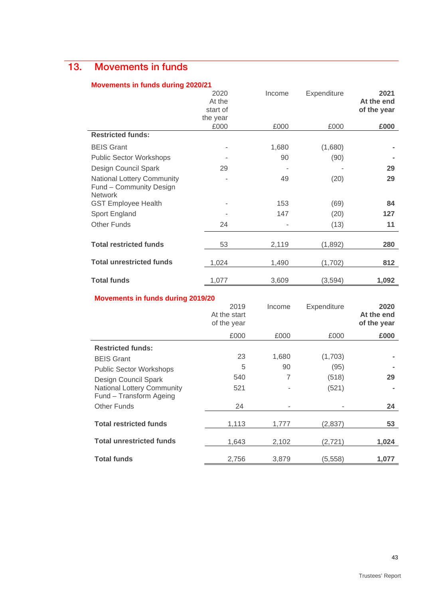## 13. Movements in funds

#### **Movements in funds during 2020/21**

|                                                                         | 2020<br>At the<br>start of<br>the year | Income | Expenditure | 2021<br>At the end<br>of the year |
|-------------------------------------------------------------------------|----------------------------------------|--------|-------------|-----------------------------------|
|                                                                         | £000                                   | £000   | £000        | £000                              |
| <b>Restricted funds:</b>                                                |                                        |        |             |                                   |
| <b>BEIS Grant</b>                                                       |                                        | 1,680  | (1,680)     |                                   |
| <b>Public Sector Workshops</b>                                          |                                        | 90     | (90)        |                                   |
| Design Council Spark                                                    | 29                                     |        |             | 29                                |
| National Lottery Community<br>Fund - Community Design<br><b>Network</b> |                                        | 49     | (20)        | 29                                |
| <b>GST Employee Health</b>                                              |                                        | 153    | (69)        | 84                                |
| Sport England                                                           |                                        | 147    | (20)        | 127                               |
| <b>Other Funds</b>                                                      | 24                                     |        | (13)        | 11                                |
| <b>Total restricted funds</b>                                           | 53                                     | 2,119  | (1,892)     | 280                               |
| <b>Total unrestricted funds</b>                                         | 1,024                                  | 1,490  | (1,702)     | 812                               |
| <b>Total funds</b>                                                      | 1,077                                  | 3,609  | (3,594)     | 1,092                             |

#### **Movements in funds during 2019/20**

|                                                              | 2019<br>At the start<br>of the year | Income | Expenditure | 2020<br>At the end<br>of the year |
|--------------------------------------------------------------|-------------------------------------|--------|-------------|-----------------------------------|
|                                                              | £000                                | £000   | £000        | £000                              |
| <b>Restricted funds:</b>                                     |                                     |        |             |                                   |
| <b>BEIS Grant</b>                                            | 23                                  | 1,680  | (1,703)     |                                   |
| <b>Public Sector Workshops</b>                               | 5                                   | 90     | (95)        |                                   |
| Design Council Spark                                         | 540                                 | 7      | (518)       | 29                                |
| <b>National Lottery Community</b><br>Fund - Transform Ageing | 521                                 |        | (521)       |                                   |
| <b>Other Funds</b>                                           | 24                                  |        |             | 24                                |
| <b>Total restricted funds</b>                                | 1,113                               | 1,777  | (2,837)     | 53                                |
| <b>Total unrestricted funds</b>                              | 1,643                               | 2,102  | (2, 721)    | 1,024                             |
| <b>Total funds</b>                                           | 2,756                               | 3,879  | (5,558)     | 1,077                             |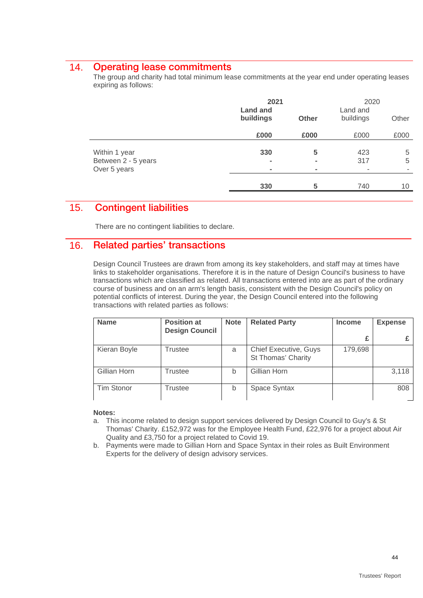### 14. Operating lease commitments

The group and charity had total minimum lease commitments at the year end under operating leases expiring as follows:

|                                                      | 2021<br><b>Land and</b><br>buildings<br><b>Other</b> |                                       | Land and<br>buildings | 2020<br>Other |  |
|------------------------------------------------------|------------------------------------------------------|---------------------------------------|-----------------------|---------------|--|
|                                                      | £000                                                 | £000                                  | £000                  | £000          |  |
| Within 1 year<br>Between 2 - 5 years<br>Over 5 years | 330                                                  | 5<br>$\blacksquare$<br>$\blacksquare$ | 423<br>317<br>۰       | 5<br>5<br>۰   |  |
|                                                      | 330                                                  | 5                                     | 740                   | 10            |  |

## 15. Contingent liabilities

There are no contingent liabilities to declare.

### 16. Related parties' transactions

Design Council Trustees are drawn from among its key stakeholders, and staff may at times have links to stakeholder organisations. Therefore it is in the nature of Design Council's business to have transactions which are classified as related. All transactions entered into are as part of the ordinary course of business and on an arm's length basis, consistent with the Design Council's policy on potential conflicts of interest. During the year, the Design Council entered into the following transactions with related parties as follows:

| <b>Name</b>  | <b>Position at</b><br><b>Design Council</b> | <b>Note</b> | <b>Related Party</b>                        | <b>Income</b> | <b>Expense</b> |
|--------------|---------------------------------------------|-------------|---------------------------------------------|---------------|----------------|
|              |                                             |             |                                             | £             |                |
| Kieran Boyle | Trustee                                     | a           | Chief Executive, Guys<br>St Thomas' Charity | 179,698       |                |
| Gillian Horn | Trustee                                     | b           | Gillian Horn                                |               | 3,118          |
| Tim Stonor   | Trustee                                     | b           | Space Syntax                                |               | 808            |

#### **Notes:**

- a. This income related to design support services delivered by Design Council to Guy's & St Thomas' Charity. £152,972 was for the Employee Health Fund, £22,976 for a project about Air Quality and £3,750 for a project related to Covid 19.
- b. Payments were made to Gillian Horn and Space Syntax in their roles as Built Environment Experts for the delivery of design advisory services.